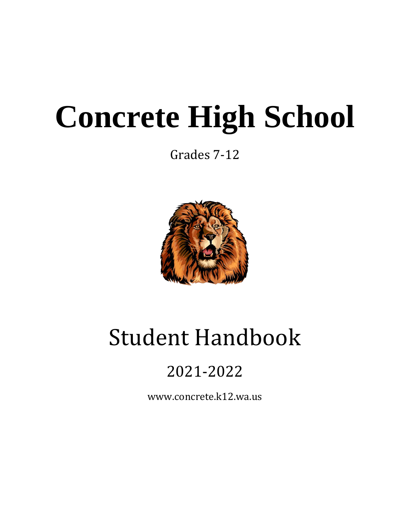# **Concrete High School**

Grades 7-12



# Student Handbook

# 2021-2022

www.concrete.k12.wa.us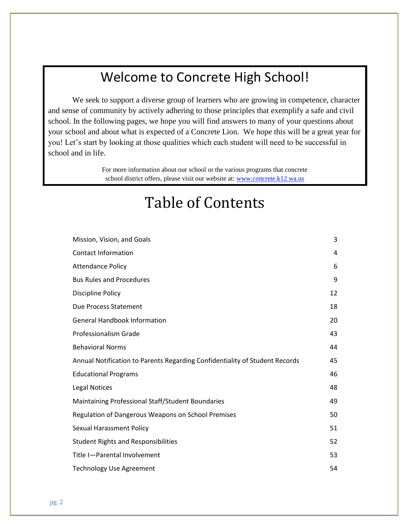# Welcome to Concrete High School!

We seek to support a diverse group of learners who are growing in competence, character and sense of community by actively adhering to those principles that exemplify a safe and civil school. In the following pages, we hope you will find answers to many of your questions about your school and about what is expected of a Concrete Lion. We hope this will be a great year for you! Let's start by looking at those qualities which each student will need to be successful in school and in life.

> For more information about our school or the various programs that concrete school district offers, please visit our website at: [www.concrete.k12.wa.us](http://www.concrete.k12.wa.us/)

# Table of Contents

| Mission, Vision, and Goals                                                  | 3  |
|-----------------------------------------------------------------------------|----|
| <b>Contact Information</b>                                                  | 4  |
| <b>Attendance Policy</b>                                                    | 6  |
| <b>Bus Rules and Procedures</b>                                             | 9  |
| Discipline Policy                                                           | 12 |
| Due Process Statement                                                       | 18 |
| <b>General Handbook Information</b>                                         | 20 |
| Professionalism Grade                                                       | 43 |
| <b>Behavioral Norms</b>                                                     | 44 |
| Annual Notification to Parents Regarding Confidentiality of Student Records | 45 |
| <b>Educational Programs</b>                                                 | 46 |
| <b>Legal Notices</b>                                                        | 48 |
| Maintaining Professional Staff/Student Boundaries                           | 49 |
| Regulation of Dangerous Weapons on School Premises                          | 50 |
| <b>Sexual Harassment Policy</b>                                             | 51 |
| <b>Student Rights and Responsibilities</b>                                  | 52 |
| Title I-Parental Involvement                                                | 53 |
| <b>Technology Use Agreement</b>                                             | 54 |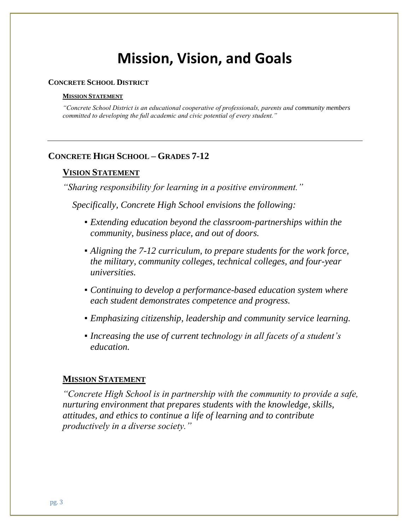# **Mission, Vision, and Goals**

#### **CONCRETE SCHOOL DISTRICT**

#### **MISSION STATEMENT**

*"Concrete School District is an educational cooperative of professionals, parents and community members committed to developing the full academic and civic potential of every student."*

#### **CONCRETE HIGH SCHOOL – GRADES 7-12**

#### **VISION STATEMENT**

*"Sharing responsibility for learning in a positive environment."*

*Specifically, Concrete High School envisions the following:*

- *Extending education beyond the classroom-partnerships within the community, business place, and out of doors.*
- *Aligning the 7-12 curriculum, to prepare students for the work force, the military, community colleges, technical colleges, and four-year universities.*
- *Continuing to develop a performance-based education system where each student demonstrates competence and progress.*
- *Emphasizing citizenship, leadership and community service learning.*
- *Increasing the use of current technology in all facets of a student's education.*

#### **MISSION STATEMENT**

*"Concrete High School is in partnership with the community to provide a safe, nurturing environment that prepares students with the knowledge, skills, attitudes, and ethics to continue a life of learning and to contribute productively in a diverse society."*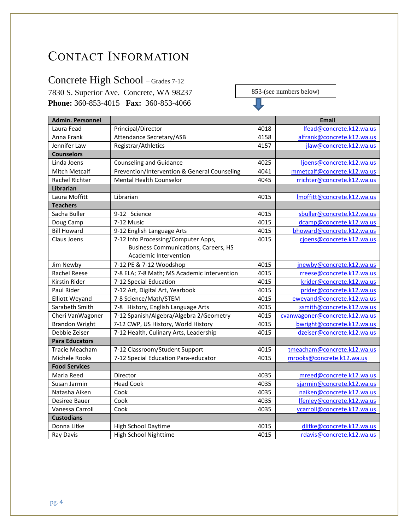# CONTACT INFORMATION

# Concrete High School – Grades 7-12

7830 S. Superior Ave. Concrete, WA 98237 **Phone:** 360-853-4015 **Fax:** 360-853-4066

853-(see numbers below)

П

| <b>Admin. Personnel</b> |                                              |      | <b>Email</b>                   |
|-------------------------|----------------------------------------------|------|--------------------------------|
| Laura Fead              | Principal/Director                           | 4018 | Ifead@concrete.k12.wa.us       |
| Anna Frank              | Attendance Secretary/ASB                     | 4158 | alfrank@concrete.k12.wa.us     |
| Jennifer Law            | Registrar/Athletics                          | 4157 | jlaw@concrete.k12.wa.us        |
| <b>Counselors</b>       |                                              |      |                                |
| Linda Joens             | <b>Counseling and Guidance</b>               | 4025 | ljoens@concrete.k12.wa.us      |
| <b>Mitch Metcalf</b>    | Prevention/Intervention & General Counseling | 4041 | mmetcalf@concrete.k12.wa.us    |
| <b>Rachel Richter</b>   | <b>Mental Health Counselor</b>               | 4045 | rrichter@concrete.k12.wa.us    |
| <b>Librarian</b>        |                                              |      |                                |
| Laura Moffitt           | Librarian                                    | 4015 | Imoffitt@concrete.k12.wa.us    |
| <b>Teachers</b>         |                                              |      |                                |
| Sacha Buller            | 9-12 Science                                 | 4015 | sbuller@concrete.k12.wa.us     |
| Doug Camp               | 7-12 Music                                   | 4015 | dcamp@concrete.k12.wa.us       |
| <b>Bill Howard</b>      | 9-12 English Language Arts                   | 4015 | bhoward@concrete.k12.wa.us     |
| Claus Joens             | 7-12 Info Processing/Computer Apps,          | 4015 | cjoens@concrete.k12.wa.us      |
|                         | <b>Business Communications, Careers, HS</b>  |      |                                |
|                         | Academic Intervention                        |      |                                |
| Jim Newby               | 7-12 PE & 7-12 Woodshop                      | 4015 | jnewby@concrete.k12.wa.us      |
| <b>Rachel Reese</b>     | 7-8 ELA; 7-8 Math; MS Academic Intervention  | 4015 | rreese@concrete.k12.wa.us      |
| Kirstin Rider           | 7-12 Special Education                       | 4015 | krider@concrete.k12.wa.us      |
| Paul Rider              | 7-12 Art, Digital Art, Yearbook              | 4015 | prider@concrete.k12.wa.us      |
| <b>Elliott Weyand</b>   | 7-8 Science/Math/STEM                        | 4015 | eweyand@concrete.k12.wa.us     |
| Sarabeth Smith          | 7-8 History, English Language Arts           | 4015 | ssmith@concrete.k12.wa.us      |
| Cheri VanWagoner        | 7-12 Spanish/Algebra/Algebra 2/Geometry      | 4015 | cvanwagoner@concrete.k12.wa.us |
| <b>Brandon Wright</b>   | 7-12 CWP, US History, World History          | 4015 | bwright@concrete.k12.wa.us     |
| Debbie Zeiser           | 7-12 Health, Culinary Arts, Leadership       | 4015 | dzeiser@concrete.k12.wa.us     |
| <b>Para Educators</b>   |                                              |      |                                |
| Tracie Meacham          | 7-12 Classroom/Student Support               | 4015 | tmeacham@concrete.k12.wa.us    |
| Michele Rooks           | 7-12 Special Education Para-educator         | 4015 | mrooks@concrete.k12.wa.us      |
| <b>Food Services</b>    |                                              |      |                                |
| Marla Reed              | Director                                     | 4035 | mreed@concrete.k12.wa.us       |
| Susan Jarmin            | <b>Head Cook</b>                             | 4035 | sjarmin@concrete.k12.wa.us     |
| Natasha Aiken           | Cook                                         | 4035 | naiken@concrete.k12.wa.us      |
| Desiree Bauer           | Cook                                         | 4035 | lfenley@concrete.k12.wa.us     |
| Vanessa Carroll         | Cook                                         | 4035 | vcarroll@concrete.k12.wa.us    |
| <b>Custodians</b>       |                                              |      |                                |
| Donna Litke             | <b>High School Daytime</b>                   | 4015 | dlitke@concrete.k12.wa.us      |
| Ray Davis               | High School Nighttime                        | 4015 | rdavis@concrete.k12.wa.us      |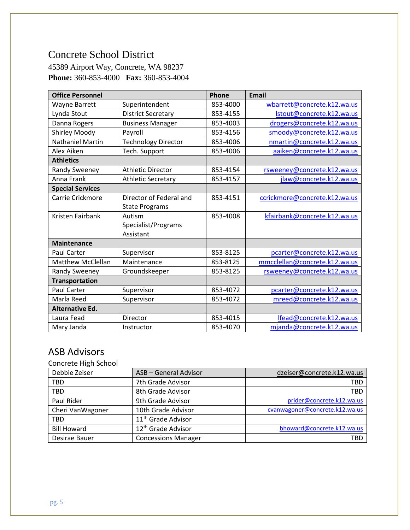### Concrete School District

45389 Airport Way, Concrete, WA 98237 **Phone:** 360-853-4000 **Fax:** 360-853-4004

| <b>Office Personnel</b>  |                            | Phone    | <b>Email</b>                  |
|--------------------------|----------------------------|----------|-------------------------------|
| Wayne Barrett            | Superintendent             | 853-4000 | wbarrett@concrete.k12.wa.us   |
| Lynda Stout              | <b>District Secretary</b>  | 853-4155 | Istout@concrete.k12.wa.us     |
| Danna Rogers             | <b>Business Manager</b>    | 853-4003 | drogers@concrete.k12.wa.us    |
| Shirley Moody            | Payroll                    | 853-4156 | smoody@concrete.k12.wa.us     |
| <b>Nathaniel Martin</b>  | <b>Technology Director</b> | 853-4006 | nmartin@concrete.k12.wa.us    |
| Alex Aiken               | Tech. Support              | 853-4006 | aaiken@concrete.k12.wa.us     |
| <b>Athletics</b>         |                            |          |                               |
| Randy Sweeney            | <b>Athletic Director</b>   | 853-4154 | rsweeney@concrete.k12.wa.us   |
| Anna Frank               | <b>Athletic Secretary</b>  | 853-4157 | jlaw@concrete.k12.wa.us       |
| <b>Special Services</b>  |                            |          |                               |
| Carrie Crickmore         | Director of Federal and    | 853-4151 | ccrickmore@concrete.k12.wa.us |
|                          | <b>State Programs</b>      |          |                               |
| Kristen Fairbank         | Autism                     | 853-4008 | kfairbank@concrete.k12.wa.us  |
|                          | Specialist/Programs        |          |                               |
|                          | Assistant                  |          |                               |
| <b>Maintenance</b>       |                            |          |                               |
| <b>Paul Carter</b>       | Supervisor                 | 853-8125 | pcarter@concrete.k12.wa.us    |
| <b>Matthew McClellan</b> | Maintenance                | 853-8125 | mmcclellan@concrete.k12.wa.us |
| Randy Sweeney            | Groundskeeper              | 853-8125 | rsweeney@concrete.k12.wa.us   |
| <b>Transportation</b>    |                            |          |                               |
| <b>Paul Carter</b>       | Supervisor                 | 853-4072 | pcarter@concrete.k12.wa.us    |
| Marla Reed               | Supervisor                 | 853-4072 | mreed@concrete.k12.wa.us      |
| <b>Alternative Ed.</b>   |                            |          |                               |
| Laura Fead               | Director                   | 853-4015 | Ifead@concrete.k12.wa.us      |
| Mary Janda               | Instructor                 | 853-4070 | mjanda@concrete.k12.wa.us     |

### ASB Advisors

Concrete High School

| Debbie Zeiser      | <b>ASB - General Advisor</b>   | dzeiser@concrete.k12.wa.us     |
|--------------------|--------------------------------|--------------------------------|
| <b>TBD</b>         | 7th Grade Advisor              | TBD                            |
| <b>TBD</b>         | 8th Grade Advisor              | TBD                            |
| Paul Rider         | 9th Grade Advisor              | prider@concrete.k12.wa.us      |
| Cheri VanWagoner   | 10th Grade Advisor             | cvanwagoner@concrete.k12.wa.us |
| <b>TBD</b>         | 11 <sup>th</sup> Grade Advisor |                                |
| <b>Bill Howard</b> | 12 <sup>th</sup> Grade Advisor | bhoward@concrete.k12.wa.us     |
| Desirae Bauer      | <b>Concessions Manager</b>     | TBD                            |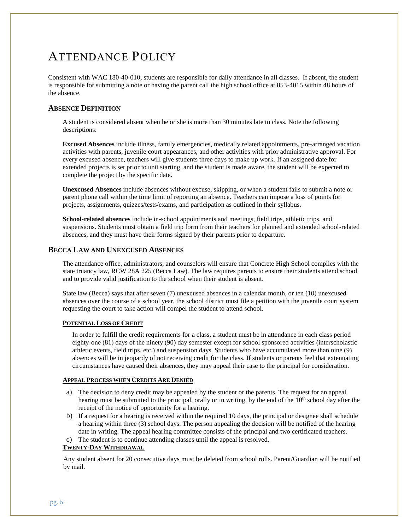# ATTENDANCE POLICY

Consistent with WAC 180-40-010, students are responsible for daily attendance in all classes. If absent, the student is responsible for submitting a note or having the parent call the high school office at 853-4015 within 48 hours of the absence.

#### **ABSENCE DEFINITION**

A student is considered absent when he or she is more than 30 minutes late to class. Note the following descriptions:

**Excused Absences** include illness, family emergencies, medically related appointments, pre-arranged vacation activities with parents, juvenile court appearances, and other activities with prior administrative approval. For every excused absence, teachers will give students three days to make up work. If an assigned date for extended projects is set prior to unit starting, and the student is made aware, the student will be expected to complete the project by the specific date.

**Unexcused Absences** include absences without excuse, skipping, or when a student fails to submit a note or parent phone call within the time limit of reporting an absence. Teachers can impose a loss of points for projects, assignments, quizzes/tests/exams, and participation as outlined in their syllabus.

**School-related absences** include in-school appointments and meetings, field trips, athletic trips, and suspensions. Students must obtain a field trip form from their teachers for planned and extended school-related absences, and they must have their forms signed by their parents prior to departure.

#### **BECCA LAW AND UNEXCUSED ABSENCES**

The attendance office, administrators, and counselors will ensure that Concrete High School complies with the state truancy law, RCW 28A 225 (Becca Law). The law requires parents to ensure their students attend school and to provide valid justification to the school when their student is absent.

State law (Becca) says that after seven (7) unexcused absences in a calendar month, or ten (10) unexcused absences over the course of a school year, the school district must file a petition with the juvenile court system requesting the court to take action will compel the student to attend school.

#### **POTENTIAL LOSS OF CREDIT**

In order to fulfill the credit requirements for a class, a student must be in attendance in each class period eighty-one (81) days of the ninety (90) day semester except for school sponsored activities (interscholastic athletic events, field trips, etc.) and suspension days. Students who have accumulated more than nine (9) absences will be in jeopardy of not receiving credit for the class. If students or parents feel that extenuating circumstances have caused their absences, they may appeal their case to the principal for consideration.

#### **APPEAL PROCESS WHEN CREDITS ARE DENIED**

- a) The decision to deny credit may be appealed by the student or the parents. The request for an appeal hearing must be submitted to the principal, orally or in writing, by the end of the 10<sup>th</sup> school day after the receipt of the notice of opportunity for a hearing.
- b) If a request for a hearing is received within the required 10 days, the principal or designee shall schedule a hearing within three (3) school days. The person appealing the decision will be notified of the hearing date in writing. The appeal hearing committee consists of the principal and two certificated teachers.
- c) The student is to continue attending classes until the appeal is resolved.

#### **TWENTY-DAY WITHDRAWAL**

Any student absent for 20 consecutive days must be deleted from school rolls. Parent/Guardian will be notified by mail.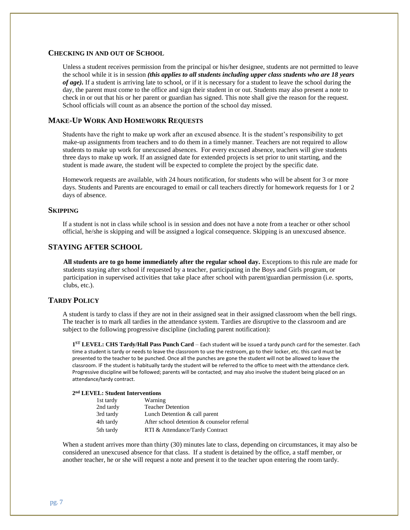#### **CHECKING IN AND OUT OF SCHOOL**

Unless a student receives permission from the principal or his/her designee, students are not permitted to leave the school while it is in session *(this applies to all students including upper class students who are 18 years of age).* If a student is arriving late to school, or if it is necessary for a student to leave the school during the day, the parent must come to the office and sign their student in or out. Students may also present a note to check in or out that his or her parent or guardian has signed. This note shall give the reason for the request. School officials will count as an absence the portion of the school day missed.

#### **MAKE-UP WORK AND HOMEWORK REQUESTS**

Students have the right to make up work after an excused absence. It is the student's responsibility to get make-up assignments from teachers and to do them in a timely manner. Teachers are not required to allow students to make up work for unexcused absences. For every excused absence, teachers will give students three days to make up work. If an assigned date for extended projects is set prior to unit starting, and the student is made aware, the student will be expected to complete the project by the specific date.

Homework requests are available, with 24 hours notification, for students who will be absent for 3 or more days. Students and Parents are encouraged to email or call teachers directly for homework requests for 1 or 2 days of absence.

#### **SKIPPING**

If a student is not in class while school is in session and does not have a note from a teacher or other school official, he/she is skipping and will be assigned a logical consequence. Skipping is an unexcused absence.

#### **STAYING AFTER SCHOOL**

**All students are to go home immediately after the regular school day.** Exceptions to this rule are made for students staying after school if requested by a teacher, participating in the Boys and Girls program, or participation in supervised activities that take place after school with parent/guardian permission (i.e. sports, clubs, etc.).

#### **TARDY POLICY**

A student is tardy to class if they are not in their assigned seat in their assigned classroom when the bell rings. The teacher is to mark all tardies in the attendance system. Tardies are disruptive to the classroom and are subject to the following progressive discipline (including parent notification):

**1 ST LEVEL: CHS Tardy/Hall Pass Punch Card** – Each student will be issued a tardy punch card for the semester. Each time a student is tardy or needs to leave the classroom to use the restroom, go to their locker, etc. this card must be presented to the teacher to be punched. Once all the punches are gone the student will not be allowed to leave the classroom. IF the student is habitually tardy the student will be referred to the office to meet with the attendance clerk. Progressive discipline will be followed; parents will be contacted; and may also involve the student being placed on an attendance/tardy contract.

#### **2 nd LEVEL: Student Interventions**

| 1st tardy | Warning                                     |
|-----------|---------------------------------------------|
| 2nd tardy | <b>Teacher Detention</b>                    |
| 3rd tardy | Lunch Detention & call parent               |
| 4th tardy | After school detention & counselor referral |
| 5th tardy | RTI & Attendance/Tardy Contract             |

When a student arrives more than thirty (30) minutes late to class, depending on circumstances, it may also be considered an unexcused absence for that class. If a student is detained by the office, a staff member, or another teacher, he or she will request a note and present it to the teacher upon entering the room tardy.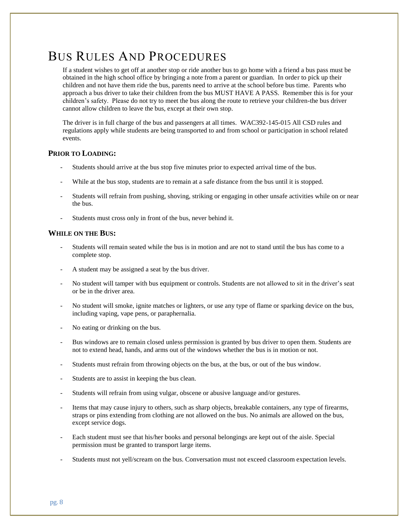# BUS RULES AND PROCEDURES

If a student wishes to get off at another stop or ride another bus to go home with a friend a bus pass must be obtained in the high school office by bringing a note from a parent or guardian. In order to pick up their children and not have them ride the bus, parents need to arrive at the school before bus time. Parents who approach a bus driver to take their children from the bus MUST HAVE A PASS. Remember this is for your children's safety. Please do not try to meet the bus along the route to retrieve your children-the bus driver cannot allow children to leave the bus, except at their own stop.

The driver is in full charge of the bus and passengers at all times. WAC392-145-015 All CSD rules and regulations apply while students are being transported to and from school or participation in school related events.

#### **PRIOR TO LOADING:**

- Students should arrive at the bus stop five minutes prior to expected arrival time of the bus.
- While at the bus stop, students are to remain at a safe distance from the bus until it is stopped.
- Students will refrain from pushing, shoving, striking or engaging in other unsafe activities while on or near the bus.
- Students must cross only in front of the bus, never behind it.

#### **WHILE ON THE BUS:**

- Students will remain seated while the bus is in motion and are not to stand until the bus has come to a complete stop.
- A student may be assigned a seat by the bus driver.
- No student will tamper with bus equipment or controls. Students are not allowed to sit in the driver's seat or be in the driver area.
- No student will smoke, ignite matches or lighters, or use any type of flame or sparking device on the bus, including vaping, vape pens, or paraphernalia.
- No eating or drinking on the bus.
- Bus windows are to remain closed unless permission is granted by bus driver to open them. Students are not to extend head, hands, and arms out of the windows whether the bus is in motion or not.
- Students must refrain from throwing objects on the bus, at the bus, or out of the bus window.
- Students are to assist in keeping the bus clean.
- Students will refrain from using vulgar, obscene or abusive language and/or gestures.
- Items that may cause injury to others, such as sharp objects, breakable containers, any type of firearms, straps or pins extending from clothing are not allowed on the bus. No animals are allowed on the bus, except service dogs.
- Each student must see that his/her books and personal belongings are kept out of the aisle. Special permission must be granted to transport large items.
- Students must not yell/scream on the bus. Conversation must not exceed classroom expectation levels.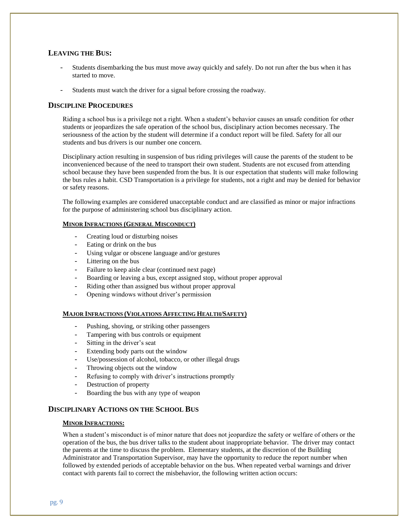#### **LEAVING THE BUS:**

- Students disembarking the bus must move away quickly and safely. Do not run after the bus when it has started to move.
- Students must watch the driver for a signal before crossing the roadway.

#### **DISCIPLINE PROCEDURES**

Riding a school bus is a privilege not a right. When a student's behavior causes an unsafe condition for other students or jeopardizes the safe operation of the school bus, disciplinary action becomes necessary. The seriousness of the action by the student will determine if a conduct report will be filed. Safety for all our students and bus drivers is our number one concern.

Disciplinary action resulting in suspension of bus riding privileges will cause the parents of the student to be inconvenienced because of the need to transport their own student. Students are not excused from attending school because they have been suspended from the bus. It is our expectation that students will make following the bus rules a habit. CSD Transportation is a privilege for students, not a right and may be denied for behavior or safety reasons.

The following examples are considered unacceptable conduct and are classified as minor or major infractions for the purpose of administering school bus disciplinary action.

#### **MINOR INFRACTIONS (GENERAL MISCONDUCT)**

- Creating loud or disturbing noises
- Eating or drink on the bus
- Using vulgar or obscene language and/or gestures
- Littering on the bus
- Failure to keep aisle clear (continued next page)
- Boarding or leaving a bus, except assigned stop, without proper approval
- Riding other than assigned bus without proper approval
- Opening windows without driver's permission

#### **MAJOR INFRACTIONS (VIOLATIONS AFFECTING HEALTH/SAFETY)**

- Pushing, shoving, or striking other passengers
- Tampering with bus controls or equipment
- Sitting in the driver's seat
- Extending body parts out the window
- Use/possession of alcohol, tobacco, or other illegal drugs
- Throwing objects out the window
- Refusing to comply with driver's instructions promptly
- Destruction of property
- Boarding the bus with any type of weapon

#### **DISCIPLINARY ACTIONS ON THE SCHOOL BUS**

#### **MINOR INFRACTIONS:**

When a student's misconduct is of minor nature that does not jeopardize the safety or welfare of others or the operation of the bus, the bus driver talks to the student about inappropriate behavior. The driver may contact the parents at the time to discuss the problem. Elementary students, at the discretion of the Building Administrator and Transportation Supervisor, may have the opportunity to reduce the report number when followed by extended periods of acceptable behavior on the bus. When repeated verbal warnings and driver contact with parents fail to correct the misbehavior, the following written action occurs: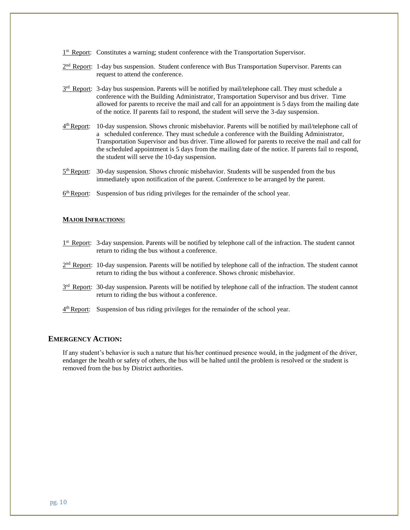- <sup>1st</sup> Report: Constitutes a warning; student conference with the Transportation Supervisor.
- $2<sup>nd</sup>$  Report: 1-day bus suspension. Student conference with Bus Transportation Supervisor. Parents can request to attend the conference.
- $3<sup>rd</sup>$  Report: 3-day bus suspension. Parents will be notified by mail/telephone call. They must schedule a conference with the Building Administrator, Transportation Supervisor and bus driver. Time allowed for parents to receive the mail and call for an appointment is 5 days from the mailing date of the notice. If parents fail to respond, the student will serve the 3-day suspension.
- $4<sup>th</sup>$  Report: 10-day suspension. Shows chronic misbehavior. Parents will be notified by mail/telephone call of a scheduled conference. They must schedule a conference with the Building Administrator, Transportation Supervisor and bus driver. Time allowed for parents to receive the mail and call for the scheduled appointment is 5 days from the mailing date of the notice. If parents fail to respond, the student will serve the 10-day suspension.
- $5<sup>th</sup>$  Report: 30-day suspension. Shows chronic misbehavior. Students will be suspended from the bus immediately upon notification of the parent. Conference to be arranged by the parent.
- $6<sup>th</sup>$  Report: Suspension of bus riding privileges for the remainder of the school year.

#### **MAJOR INFRACTIONS:**

- 1<sup>st</sup> Report: 3-day suspension. Parents will be notified by telephone call of the infraction. The student cannot return to riding the bus without a conference.
- 2<sup>nd</sup> Report: 10-day suspension. Parents will be notified by telephone call of the infraction. The student cannot return to riding the bus without a conference. Shows chronic misbehavior.
- 3<sup>rd</sup> Report: 30-day suspension. Parents will be notified by telephone call of the infraction. The student cannot return to riding the bus without a conference.
- 4<sup>th</sup> Report: Suspension of bus riding privileges for the remainder of the school year.

#### **EMERGENCY ACTION:**

If any student's behavior is such a nature that his/her continued presence would, in the judgment of the driver, endanger the health or safety of others, the bus will be halted until the problem is resolved or the student is removed from the bus by District authorities.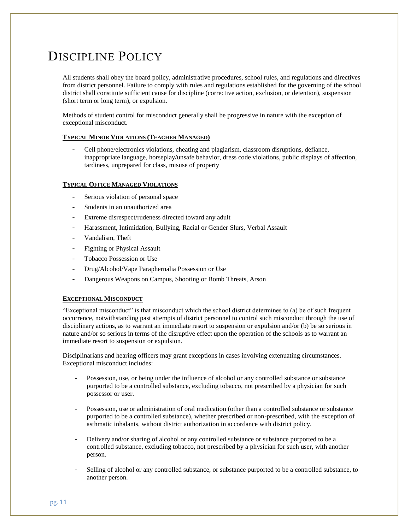# DISCIPLINE POLICY

All students shall obey the board policy, administrative procedures, school rules, and regulations and directives from district personnel. Failure to comply with rules and regulations established for the governing of the school district shall constitute sufficient cause for discipline (corrective action, exclusion, or detention), suspension (short term or long term), or expulsion.

Methods of student control for misconduct generally shall be progressive in nature with the exception of exceptional misconduct.

#### **TYPICAL MINOR VIOLATIONS (TEACHER MANAGED)**

- Cell phone/electronics violations, cheating and plagiarism, classroom disruptions, defiance, inappropriate language, horseplay/unsafe behavior, dress code violations, public displays of affection, tardiness, unprepared for class, misuse of property

#### **TYPICAL OFFICE MANAGED VIOLATIONS**

- Serious violation of personal space
- Students in an unauthorized area
- Extreme disrespect/rudeness directed toward any adult
- Harassment, Intimidation, Bullying, Racial or Gender Slurs, Verbal Assault
- Vandalism, Theft
- Fighting or Physical Assault
- Tobacco Possession or Use
- Drug/Alcohol/Vape Paraphernalia Possession or Use
- Dangerous Weapons on Campus, Shooting or Bomb Threats, Arson

#### **EXCEPTIONAL MISCONDUCT**

"Exceptional misconduct" is that misconduct which the school district determines to (a) be of such frequent occurrence, notwithstanding past attempts of district personnel to control such misconduct through the use of disciplinary actions, as to warrant an immediate resort to suspension or expulsion and/or (b) be so serious in nature and/or so serious in terms of the disruptive effect upon the operation of the schools as to warrant an immediate resort to suspension or expulsion.

Disciplinarians and hearing officers may grant exceptions in cases involving extenuating circumstances. Exceptional misconduct includes:

- Possession, use, or being under the influence of alcohol or any controlled substance or substance purported to be a controlled substance, excluding tobacco, not prescribed by a physician for such possessor or user.
- Possession, use or administration of oral medication (other than a controlled substance or substance purported to be a controlled substance), whether prescribed or non-prescribed, with the exception of asthmatic inhalants, without district authorization in accordance with district policy.
- Delivery and/or sharing of alcohol or any controlled substance or substance purported to be a controlled substance, excluding tobacco, not prescribed by a physician for such user, with another person.
- Selling of alcohol or any controlled substance, or substance purported to be a controlled substance, to another person.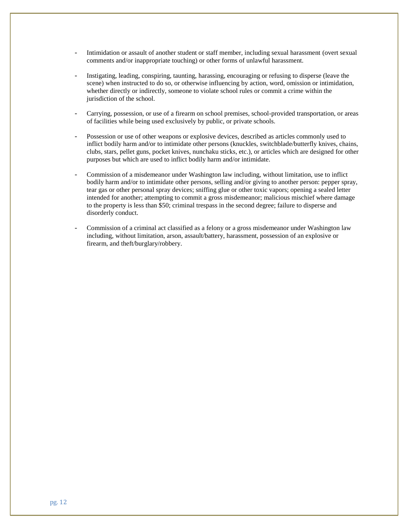- Intimidation or assault of another student or staff member, including sexual harassment (overt sexual comments and/or inappropriate touching) or other forms of unlawful harassment.
- Instigating, leading, conspiring, taunting, harassing, encouraging or refusing to disperse (leave the scene) when instructed to do so, or otherwise influencing by action, word, omission or intimidation, whether directly or indirectly, someone to violate school rules or commit a crime within the jurisdiction of the school.
- Carrying, possession, or use of a firearm on school premises, school-provided transportation, or areas of facilities while being used exclusively by public, or private schools.
- Possession or use of other weapons or explosive devices, described as articles commonly used to inflict bodily harm and/or to intimidate other persons (knuckles, switchblade/butterfly knives, chains, clubs, stars, pellet guns, pocket knives, nunchaku sticks, etc.), or articles which are designed for other purposes but which are used to inflict bodily harm and/or intimidate.
- Commission of a misdemeanor under Washington law including, without limitation, use to inflict bodily harm and/or to intimidate other persons, selling and/or giving to another person: pepper spray, tear gas or other personal spray devices; sniffing glue or other toxic vapors; opening a sealed letter intended for another; attempting to commit a gross misdemeanor; malicious mischief where damage to the property is less than \$50; criminal trespass in the second degree; failure to disperse and disorderly conduct.
- Commission of a criminal act classified as a felony or a gross misdemeanor under Washington law including, without limitation, arson, assault/battery, harassment, possession of an explosive or firearm, and theft/burglary/robbery.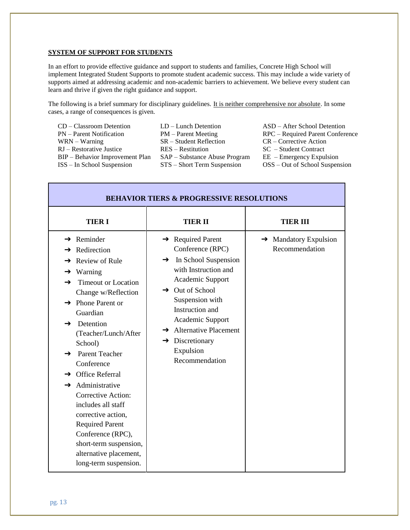#### **SYSTEM OF SUPPORT FOR STUDENTS**

In an effort to provide effective guidance and support to students and families, Concrete High School will implement Integrated Student Supports to promote student academic success. This may include a wide variety of supports aimed at addressing academic and non-academic barriers to achievement. We believe every student can learn and thrive if given the right guidance and support.

The following is a brief summary for disciplinary guidelines. It is neither comprehensive nor absolute. In some cases, a range of consequences is given.

| $CD - Classroom$ Detention      |
|---------------------------------|
| PN – Parent Notification        |
| $WRN - Warning$                 |
| $RI - Restorative$ Justice      |
| BIP – Behavior Improvement Plan |
| $ISS - In School$ Suspension    |

- CD Lunch Detention<br>
PM Parent Meeting RPC Required Parent Conference  $SR - Student Reflection$  CR – Corrective Action RES – Restitution SC – Student Contract  $SAP - Substance$  Abuse Program EE – Emergency Expulsion ISS – In School Suspension STS – Short Term Suspension OSS – Out of School Suspension
	- RPC Required Parent Conference
	-

| <b>BEHAVIOR TIERS &amp; PROGRESSIVE RESOLUTIONS</b>                                                                                                                                                                                                                                                                                                                                                                                                                                                                                                                            |                                                                                                                                                                                                                                                                                                                                   |                                                     |  |  |  |  |
|--------------------------------------------------------------------------------------------------------------------------------------------------------------------------------------------------------------------------------------------------------------------------------------------------------------------------------------------------------------------------------------------------------------------------------------------------------------------------------------------------------------------------------------------------------------------------------|-----------------------------------------------------------------------------------------------------------------------------------------------------------------------------------------------------------------------------------------------------------------------------------------------------------------------------------|-----------------------------------------------------|--|--|--|--|
| <b>TIERI</b>                                                                                                                                                                                                                                                                                                                                                                                                                                                                                                                                                                   | TIER II                                                                                                                                                                                                                                                                                                                           | <b>TIER III</b>                                     |  |  |  |  |
| $\rightarrow$ Reminder<br>Redirection<br><b>Review of Rule</b><br>→<br>Warning<br>→<br><b>Timeout or Location</b><br>→<br>Change w/Reflection<br>$\rightarrow$ Phone Parent or<br>Guardian<br>Detention<br>$\rightarrow$<br>(Teacher/Lunch/After<br>School)<br><b>Parent Teacher</b><br>→<br>Conference<br><b>Office Referral</b><br>→<br>Administrative<br>$\rightarrow$<br><b>Corrective Action:</b><br>includes all staff<br>corrective action,<br><b>Required Parent</b><br>Conference (RPC),<br>short-term suspension,<br>alternative placement,<br>long-term suspension. | $\rightarrow$ Required Parent<br>Conference (RPC)<br>$\rightarrow$ In School Suspension<br>with Instruction and<br>Academic Support<br>$\rightarrow$ Out of School<br>Suspension with<br>Instruction and<br>Academic Support<br>$\rightarrow$ Alternative Placement<br>$\rightarrow$ Discretionary<br>Expulsion<br>Recommendation | $\rightarrow$ Mandatory Expulsion<br>Recommendation |  |  |  |  |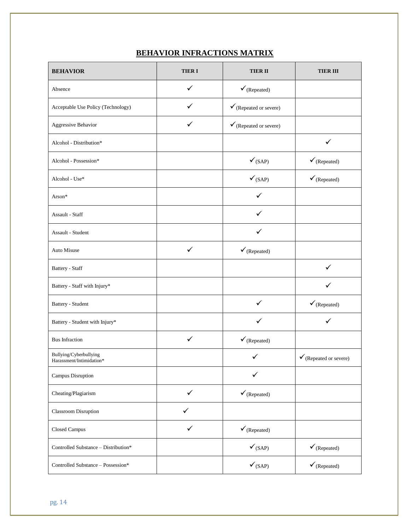#### **BEHAVIOR INFRACTIONS MATRIX**

| <b>BEHAVIOR</b>                                    | <b>TIERI</b> | <b>TIER II</b>                    | <b>TIER III</b>                   |
|----------------------------------------------------|--------------|-----------------------------------|-----------------------------------|
| Absence                                            | $\checkmark$ | $\checkmark$ (Repeated)           |                                   |
| Acceptable Use Policy (Technology)                 | ✓            | $\checkmark$ (Repeated or severe) |                                   |
| Aggressive Behavior                                | ✓            | $\checkmark$ (Repeated or severe) |                                   |
| Alcohol - Distribution*                            |              |                                   | $\checkmark$                      |
| Alcohol - Possession*                              |              | $\checkmark$ (SAP)                | $\checkmark$ (Repeated)           |
| Alcohol - Use*                                     |              | $\checkmark$ (SAP)                | $\checkmark$ (Repeated)           |
| Arson*                                             |              |                                   |                                   |
| Assault - Staff                                    |              | ✓                                 |                                   |
| Assault - Student                                  |              | ✓                                 |                                   |
| Auto Misuse                                        | $\checkmark$ | $\checkmark$ (Repeated)           |                                   |
| Battery - Staff                                    |              |                                   |                                   |
| Battery - Staff with Injury*                       |              |                                   |                                   |
| Battery - Student                                  |              | ✓                                 | $\checkmark$ (Repeated)           |
| Battery - Student with Injury*                     |              | $\checkmark$                      | ✓                                 |
| <b>Bus Infraction</b>                              | ✓            | $\checkmark$ (Repeated)           |                                   |
| Bullying/Cyberbullying<br>Harassment/Intimidation* |              | ✓                                 | $\checkmark$ (Repeated or severe) |
| Campus Disruption                                  |              | $\checkmark$                      |                                   |
| Cheating/Plagiarism                                | ✓            | $\checkmark$ (Repeated)           |                                   |
| Classroom Disruption                               | $\checkmark$ |                                   |                                   |
| Closed Campus                                      | ✓            | $\checkmark$ (Repeated)           |                                   |
| Controlled Substance - Distribution*               |              | $\checkmark_{\rm (SAP)}$          | $\checkmark$ (Repeated)           |
| Controlled Substance - Possession*                 |              | $\checkmark$ (SAP)                | $\checkmark$ (Repeated)           |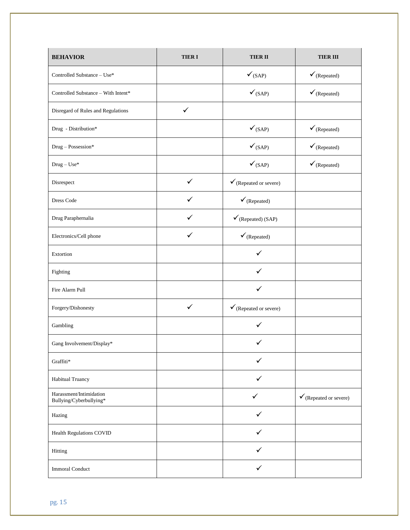| <b>BEHAVIOR</b>                                    | <b>TIERI</b> | <b>TIERII</b>                     | <b>TIER III</b>                   |
|----------------------------------------------------|--------------|-----------------------------------|-----------------------------------|
| Controlled Substance - Use*                        |              | $\checkmark_{\rm (SAP)}$          | $\checkmark$ (Repeated)           |
| Controlled Substance - With Intent*                |              | $\checkmark$ (SAP)                | $\checkmark$ (Repeated)           |
| Disregard of Rules and Regulations                 | $\checkmark$ |                                   |                                   |
| Drug - Distribution*                               |              | $\checkmark_{\rm (SAP)}$          | $\checkmark$ (Repeated)           |
| Drug - Possession*                                 |              | $\checkmark$ (SAP)                | $\checkmark$ (Repeated)           |
| $\text{ Drug} - \text{Use*}$                       |              | $\checkmark$ (SAP)                | $\checkmark$ (Repeated)           |
| Disrespect                                         | $\checkmark$ | $\checkmark$ (Repeated or severe) |                                   |
| Dress Code                                         | ✓            | $\checkmark$ (Repeated)           |                                   |
| Drug Paraphernalia                                 | ✓            | $\checkmark$ (Repeated) (SAP)     |                                   |
| Electronics/Cell phone                             | ✓            | $\checkmark$ (Repeated)           |                                   |
| Extortion                                          |              | $\checkmark$                      |                                   |
| Fighting                                           |              | ✓                                 |                                   |
| Fire Alarm Pull                                    |              | $\checkmark$                      |                                   |
| Forgery/Dishonesty                                 | $\checkmark$ | $\checkmark$ (Repeated or severe) |                                   |
| Gambling                                           |              | $\checkmark$                      |                                   |
| Gang Involvement/Display*                          |              |                                   |                                   |
| Graffiti*                                          |              | $\checkmark$                      |                                   |
| Habitual Truancy                                   |              | ✓                                 |                                   |
| Harassment/Intimidation<br>Bullying/Cyberbullying* |              | ✓                                 | $\checkmark$ (Repeated or severe) |
| Hazing                                             |              | ✓                                 |                                   |
| Health Regulations COVID                           |              | $\checkmark$                      |                                   |
| Hitting                                            |              | ✓                                 |                                   |
| <b>Immoral Conduct</b>                             |              | ✓                                 |                                   |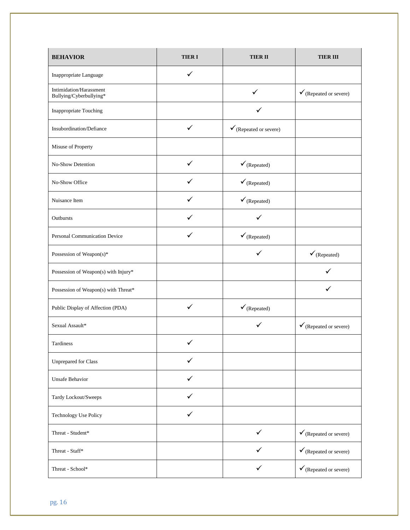| <b>BEHAVIOR</b>                                    | <b>TIERI</b> | <b>TIERII</b>                     | <b>TIER III</b>                   |
|----------------------------------------------------|--------------|-----------------------------------|-----------------------------------|
| Inappropriate Language                             | ✓            |                                   |                                   |
| Intimidation/Harassment<br>Bullying/Cyberbullying* |              | $\checkmark$                      | $\checkmark$ (Repeated or severe) |
| Inappropriate Touching                             |              |                                   |                                   |
| Insubordination/Defiance                           | ✓            | $\checkmark$ (Repeated or severe) |                                   |
| Misuse of Property                                 |              |                                   |                                   |
| No-Show Detention                                  | $\checkmark$ | $\checkmark$ (Repeated)           |                                   |
| No-Show Office                                     | ✓            | $\checkmark$ (Repeated)           |                                   |
| Nuisance Item                                      | ✓            | $\checkmark$ (Repeated)           |                                   |
| Outbursts                                          | ✓            | ✓                                 |                                   |
| Personal Communication Device                      |              | $\checkmark$ (Repeated)           |                                   |
| Possession of Weapon(s)*                           |              | ✓                                 | $\checkmark$ (Repeated)           |
| Possession of Weapon(s) with Injury*               |              |                                   |                                   |
| Possession of Weapon(s) with Threat*               |              |                                   |                                   |
| Public Display of Affection (PDA)                  | $\checkmark$ | $\checkmark$ (Repeated)           |                                   |
| Sexual Assault*                                    |              | ✓                                 | $\checkmark$ (Repeated or severe) |
| Tardiness                                          |              |                                   |                                   |
| <b>Unprepared for Class</b>                        | ✓            |                                   |                                   |
| <b>Unsafe Behavior</b>                             | ✓            |                                   |                                   |
| Tardy Lockout/Sweeps                               |              |                                   |                                   |
| <b>Technology Use Policy</b>                       | ✓            |                                   |                                   |
| Threat - Student*                                  |              | ✓                                 | $\checkmark$ (Repeated or severe) |
| Threat - Staff*                                    |              | ✓                                 | $\checkmark$ (Repeated or severe) |
| Threat - School*                                   |              | ✓                                 | $\checkmark$ (Repeated or severe) |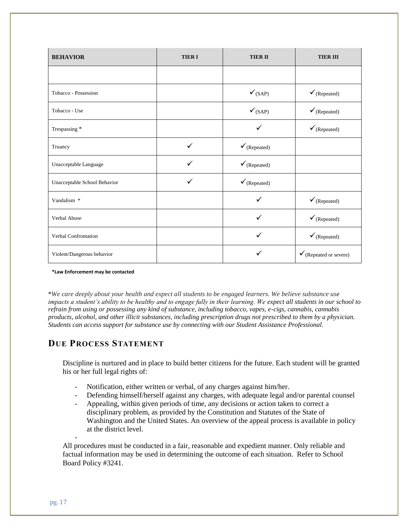| <b>BEHAVIOR</b>              | <b>TIERI</b> | <b>TIER II</b>           | <b>TIER III</b>                   |
|------------------------------|--------------|--------------------------|-----------------------------------|
|                              |              |                          |                                   |
| Tobacco - Possession         |              | $\checkmark$ (SAP)       | $\checkmark$ (Repeated)           |
| Tobacco - Use                |              | $\checkmark_{\rm (SAP)}$ | $\checkmark$ (Repeated)           |
| Trespassing *                |              | ✓                        | $\checkmark$ (Repeated)           |
| Truancy                      | ✓            | $\checkmark$ (Repeated)  |                                   |
| Unacceptable Language        | ✓            | $\checkmark$ (Repeated)  |                                   |
| Unacceptable School Behavior | $\checkmark$ | $\checkmark$ (Repeated)  |                                   |
| Vandalism *                  |              | ✓                        | $\checkmark$ (Repeated)           |
| Verbal Abuse                 |              | ✓                        | $\checkmark$ (Repeated)           |
| Verbal Confrontation         |              | ✓                        | $\checkmark$ (Repeated)           |
| Violent/Dangerous behavior   |              | ✓                        | $\checkmark$ (Repeated or severe) |

**\*Law Enforcement may be contacted** 

\**We care deeply about your health and expect all students to be engaged learners. We believe substance use impacts a student's ability to be healthy and to engage fully in their learning. We expect all students in our school to refrain from using or possessing any kind of substance, including tobacco, vapes, e-cigs, cannabis, cannabis products, alcohol, and other illicit substances, including prescription drugs not prescribed to them by a physician. Students can access support for substance use by connecting with our Student Assistance Professional.*

#### **DUE PROCESS STATEMENT**

Discipline is nurtured and in place to build better citizens for the future. Each student will be granted his or her full legal rights of:

- Notification, either written or verbal, of any charges against him/her.
- Defending himself/herself against any charges, with adequate legal and/or parental counsel
- Appealing, within given periods of time, any decisions or action taken to correct a disciplinary problem, as provided by the Constitution and Statutes of the State of Washington and the United States. An overview of the appeal process is available in policy at the district level.

All procedures must be conducted in a fair, reasonable and expedient manner. Only reliable and factual information may be used in determining the outcome of each situation. Refer to School Board Policy #3241.

-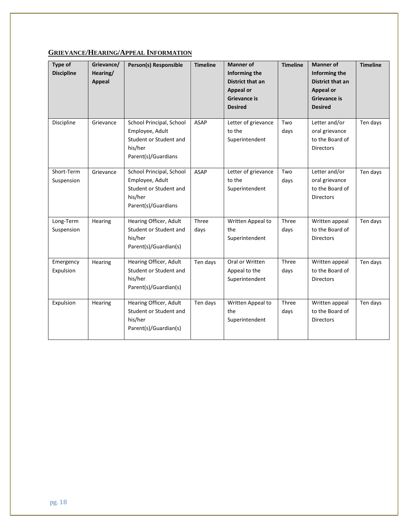#### **GRIEVANCE/HEARING/APPEAL INFORMATION**

| Type of<br><b>Discipline</b> | Grievance/<br>Hearing/<br><b>Appeal</b> | Person(s) Responsible                                                                                   | <b>Timeline</b> | <b>Manner of</b><br>Informing the<br><b>District that an</b><br><b>Appeal or</b><br>Grievance is<br><b>Desired</b> | <b>Timeline</b> | <b>Manner of</b><br>Informing the<br><b>District that an</b><br><b>Appeal or</b><br>Grievance is<br><b>Desired</b> | <b>Timeline</b> |
|------------------------------|-----------------------------------------|---------------------------------------------------------------------------------------------------------|-----------------|--------------------------------------------------------------------------------------------------------------------|-----------------|--------------------------------------------------------------------------------------------------------------------|-----------------|
| Discipline                   | Grievance                               | School Principal, School<br>Employee, Adult<br>Student or Student and<br>his/her<br>Parent(s)/Guardians | <b>ASAP</b>     | Letter of grievance<br>to the<br>Superintendent                                                                    | Two<br>days     | Letter and/or<br>oral grievance<br>to the Board of<br><b>Directors</b>                                             | Ten days        |
| Short-Term<br>Suspension     | Grievance                               | School Principal, School<br>Employee, Adult<br>Student or Student and<br>his/her<br>Parent(s)/Guardians | <b>ASAP</b>     | Letter of grievance<br>to the<br>Superintendent                                                                    | Two<br>days     | Letter and/or<br>oral grievance<br>to the Board of<br><b>Directors</b>                                             | Ten days        |
| Long-Term<br>Suspension      | Hearing                                 | Hearing Officer, Adult<br>Student or Student and<br>his/her<br>Parent(s)/Guardian(s)                    | Three<br>days   | Written Appeal to<br>the<br>Superintendent                                                                         | Three<br>days   | Written appeal<br>to the Board of<br><b>Directors</b>                                                              | Ten days        |
| Emergency<br>Expulsion       | Hearing                                 | Hearing Officer, Adult<br>Student or Student and<br>his/her<br>Parent(s)/Guardian(s)                    | Ten days        | Oral or Written<br>Appeal to the<br>Superintendent                                                                 | Three<br>days   | Written appeal<br>to the Board of<br><b>Directors</b>                                                              | Ten days        |
| Expulsion                    | Hearing                                 | Hearing Officer, Adult<br>Student or Student and<br>his/her<br>Parent(s)/Guardian(s)                    | Ten days        | Written Appeal to<br>the<br>Superintendent                                                                         | Three<br>days   | Written appeal<br>to the Board of<br><b>Directors</b>                                                              | Ten days        |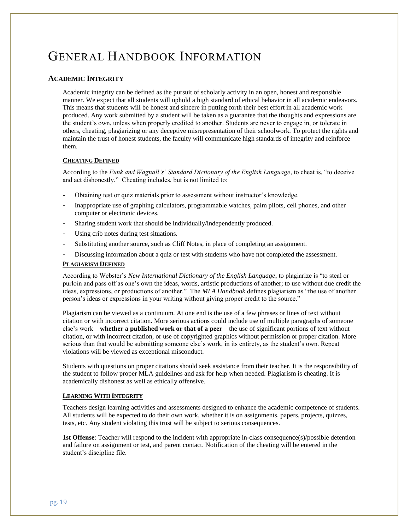# GENERAL HANDBOOK INFORMATION

#### **ACADEMIC INTEGRITY**

Academic integrity can be defined as the pursuit of scholarly activity in an open, honest and responsible manner. We expect that all students will uphold a high standard of ethical behavior in all academic endeavors. This means that students will be honest and sincere in putting forth their best effort in all academic work produced. Any work submitted by a student will be taken as a guarantee that the thoughts and expressions are the student's own, unless when properly credited to another. Students are never to engage in, or tolerate in others, cheating, plagiarizing or any deceptive misrepresentation of their schoolwork. To protect the rights and maintain the trust of honest students, the faculty will communicate high standards of integrity and reinforce them.

#### **CHEATING DEFINED**

According to the *Funk and Wagnall's' Standard Dictionary of the English Language*, to cheat is, "to deceive and act dishonestly." Cheating includes, but is not limited to:

- Obtaining test or quiz materials prior to assessment without instructor's knowledge.
- Inappropriate use of graphing calculators, programmable watches, palm pilots, cell phones, and other computer or electronic devices.
- Sharing student work that should be individually/independently produced.
- Using crib notes during test situations.
- Substituting another source, such as Cliff Notes, in place of completing an assignment.
- Discussing information about a quiz or test with students who have not completed the assessment.

#### **PLAGIARISM DEFINED**

According to Webster's *New International Dictionary of the English Language*, to plagiarize is "to steal or purloin and pass off as one's own the ideas, words, artistic productions of another; to use without due credit the ideas, expressions, or productions of another." The *MLA Handbook* defines plagiarism as "the use of another person's ideas or expressions in your writing without giving proper credit to the source."

Plagiarism can be viewed as a continuum. At one end is the use of a few phrases or lines of text without citation or with incorrect citation. More serious actions could include use of multiple paragraphs of someone else's work—**whether a published work or that of a peer**—the use of significant portions of text without citation, or with incorrect citation, or use of copyrighted graphics without permission or proper citation. More serious than that would be submitting someone else's work, in its entirety, as the student's own. Repeat violations will be viewed as exceptional misconduct.

Students with questions on proper citations should seek assistance from their teacher. It is the responsibility of the student to follow proper MLA guidelines and ask for help when needed. Plagiarism is cheating. It is academically dishonest as well as ethically offensive.

#### **LEARNING WITH INTEGRITY**

Teachers design learning activities and assessments designed to enhance the academic competence of students. All students will be expected to do their own work, whether it is on assignments, papers, projects, quizzes, tests, etc. Any student violating this trust will be subject to serious consequences.

**1st Offense**: Teacher will respond to the incident with appropriate in-class consequence(s)/possible detention and failure on assignment or test, and parent contact. Notification of the cheating will be entered in the student's discipline file.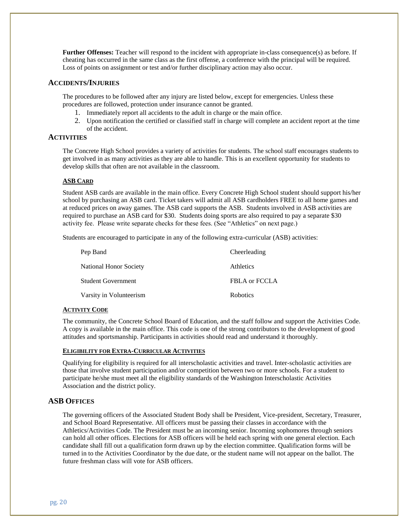**Further Offenses:** Teacher will respond to the incident with appropriate in-class consequence(s) as before. If cheating has occurred in the same class as the first offense, a conference with the principal will be required. Loss of points on assignment or test and/or further disciplinary action may also occur.

#### **ACCIDENTS/INJURIES**

The procedures to be followed after any injury are listed below, except for emergencies. Unless these procedures are followed, protection under insurance cannot be granted.

- 1. Immediately report all accidents to the adult in charge or the main office.
- 2. Upon notification the certified or classified staff in charge will complete an accident report at the time of the accident.

#### **ACTIVITIES**

The Concrete High School provides a variety of activities for students. The school staff encourages students to get involved in as many activities as they are able to handle. This is an excellent opportunity for students to develop skills that often are not available in the classroom.

#### **ASB CARD**

Student ASB cards are available in the main office. Every Concrete High School student should support his/her school by purchasing an ASB card. Ticket takers will admit all ASB cardholders FREE to all home games and at reduced prices on away games. The ASB card supports the ASB. Students involved in ASB activities are required to purchase an ASB card for \$30. Students doing sports are also required to pay a separate \$30 activity fee. Please write separate checks for these fees. (See "Athletics" on next page.)

Students are encouraged to participate in any of the following extra-curricular (ASB) activities:

| Pep Band                  | Cheerleading     |
|---------------------------|------------------|
| National Honor Society    | <b>Athletics</b> |
| <b>Student Government</b> | FBLA or FCCLA    |
| Varsity in Volunteerism   | <b>Robotics</b>  |

#### **ACTIVITY CODE**

The community, the Concrete School Board of Education, and the staff follow and support the Activities Code. A copy is available in the main office. This code is one of the strong contributors to the development of good attitudes and sportsmanship. Participants in activities should read and understand it thoroughly.

#### **ELIGIBILITY FOR EXTRA-CURRICULAR ACTIVITIES**

Qualifying for eligibility is required for all interscholastic activities and travel. Inter-scholastic activities are those that involve student participation and/or competition between two or more schools. For a student to participate he/she must meet all the eligibility standards of the Washington Interscholastic Activities Association and the district policy.

#### **ASB OFFICES**

The governing officers of the Associated Student Body shall be President, Vice-president, Secretary, Treasurer, and School Board Representative. All officers must be passing their classes in accordance with the Athletics/Activities Code. The President must be an incoming senior. Incoming sophomores through seniors can hold all other offices. Elections for ASB officers will be held each spring with one general election. Each candidate shall fill out a qualification form drawn up by the election committee. Qualification forms will be turned in to the Activities Coordinator by the due date, or the student name will not appear on the ballot. The future freshman class will vote for ASB officers.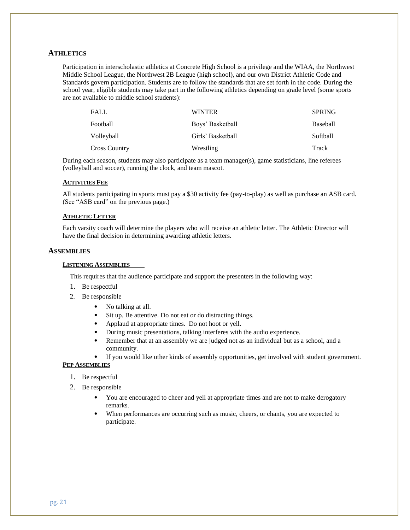#### **ATHLETICS**

Participation in interscholastic athletics at Concrete High School is a privilege and the WIAA, the Northwest Middle School League, the Northwest 2B League (high school), and our own District Athletic Code and Standards govern participation. Students are to follow the standards that are set forth in the code. During the school year, eligible students may take part in the following athletics depending on grade level (some sports are not available to middle school students):

| <b>FALL</b>          | <b>WINTER</b>     | <b>SPRING</b> |
|----------------------|-------------------|---------------|
| Football             | Boys' Basketball  | Baseball      |
| Volleyball           | Girls' Basketball | Softball      |
| <b>Cross Country</b> | Wrestling         | Track         |

During each season, students may also participate as a team manager(s), game statisticians, line referees (volleyball and soccer), running the clock, and team mascot.

#### **ACTIVITIES FEE**

All students participating in sports must pay a \$30 activity fee (pay-to-play) as well as purchase an ASB card. (See "ASB card" on the previous page.)

#### **ATHLETIC LETTER**

Each varsity coach will determine the players who will receive an athletic letter. The Athletic Director will have the final decision in determining awarding athletic letters.

#### **ASSEMBLIES**

#### **LISTENING ASSEMBLIES**

This requires that the audience participate and support the presenters in the following way:

- 1. Be respectful
- 2. Be responsible
	- No talking at all.
	- Sit up. Be attentive. Do not eat or do distracting things.
	- Applaud at appropriate times. Do not hoot or yell.
	- During music presentations, talking interferes with the audio experience.
	- Remember that at an assembly we are judged not as an individual but as a school, and a community.
	- If you would like other kinds of assembly opportunities, get involved with student government.

#### **PEP ASSEMBLIES**

- 1. Be respectful
- 2. Be responsible
	- You are encouraged to cheer and yell at appropriate times and are not to make derogatory remarks.
	- When performances are occurring such as music, cheers, or chants, you are expected to participate.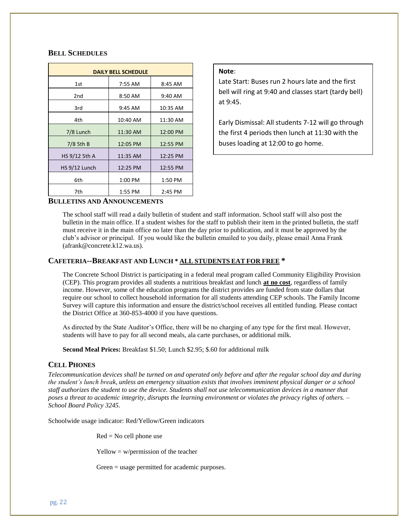#### **BELL SCHEDULES**

| <b>DAILY BELL SCHEDULE</b> |               |          |  |  |
|----------------------------|---------------|----------|--|--|
| 1st                        | 7:55 AM       | 8:45 AM  |  |  |
| 2 <sub>nd</sub>            | 8:50 AM       | 9:40 AM  |  |  |
| 3rd                        | 9:45 AM       | 10:35 AM |  |  |
| 4th                        | 10:40 AM      | 11:30 AM |  |  |
| 7/8 Lunch                  | 11:30 AM      | 12:00 PM |  |  |
| 7/8 5th B                  | 12:05 PM      | 12:55 PM |  |  |
| HS 9/12 5th A              | 11:35 AM      | 12:25 PM |  |  |
| HS 9/12 Lunch              | 12:25 PM      | 12:55 PM |  |  |
| 6th                        | 1:00 PM       | 1:50 PM  |  |  |
| 7th                        | 1:55 PM       | 2:45 PM  |  |  |
| $\mathbf{L}$<br>---- --    | $\frac{1}{2}$ |          |  |  |

#### **Note**:

Late Start: Buses run 2 hours late and the first bell will ring at 9:40 and classes start (tardy bell) at 9:45.

Early Dismissal: All students 7-12 will go through the first 4 periods then lunch at 11:30 with the buses loading at 12:00 to go home.

#### **BULLETINS AND ANNOUNCEMENTS**

The school staff will read a daily bulletin of student and staff information. School staff will also post the bulletin in the main office. If a student wishes for the staff to publish their item in the printed bulletin, the staff must receive it in the main office no later than the day prior to publication, and it must be approved by the club's advisor or principal. If you would like the bulletin emailed to you daily, please email Anna Frank (afrank@concrete.k12.wa.us).

#### **CAFETERIA--BREAKFAST AND LUNCH \* ALL STUDENTS EAT FOR FREE \***

The Concrete School District is participating in a federal meal program called Community Eligibility Provision (CEP). This program provides all students a nutritious breakfast and lunch **at no cost**, regardless of family income. However, some of the education programs the district provides are funded from state dollars that require our school to collect household information for all students attending CEP schools. The Family Income Survey will capture this information and ensure the district/school receives all entitled funding. Please contact the District Office at 360-853-4000 if you have questions.

As directed by the State Auditor's Office, there will be no charging of any type for the first meal. However, students will have to pay for all second meals, ala carte purchases, or additional milk.

**Second Meal Prices:** Breakfast \$1.50; Lunch \$2.95; \$.60 for additional milk

#### **CELL PHONES**

*Telecommunication devices shall be turned on and operated only before and after the regular school day and during the student's lunch break, unless an emergency situation exists that involves imminent physical danger or a school staff authorizes the student to use the device. Students shall not use telecommunication devices in a manner that poses a threat to academic integrity, disrupts the learning environment or violates the privacy rights of others. – School Board Policy 3245.* 

Schoolwide usage indicator: Red/Yellow/Green indicators

 $Red = No$  cell phone use

 $Y$ ellow = w/permission of the teacher

Green = usage permitted for academic purposes.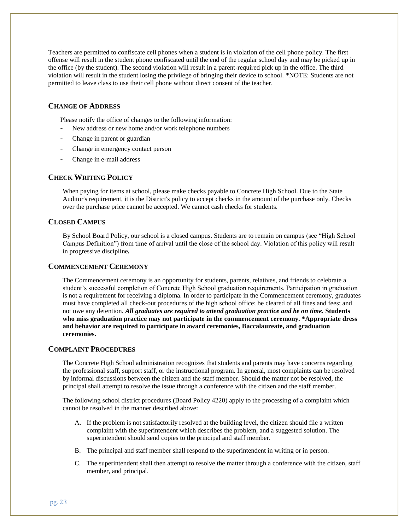Teachers are permitted to confiscate cell phones when a student is in violation of the cell phone policy. The first offense will result in the student phone confiscated until the end of the regular school day and may be picked up in the office (by the student). The second violation will result in a parent-required pick up in the office. The third violation will result in the student losing the privilege of bringing their device to school. \*NOTE: Students are not permitted to leave class to use their cell phone without direct consent of the teacher.

#### **CHANGE OF ADDRESS**

Please notify the office of changes to the following information:

- New address or new home and/or work telephone numbers
- Change in parent or guardian
- Change in emergency contact person
- Change in e-mail address

#### **CHECK WRITING POLICY**

When paying for items at school, please make checks payable to Concrete High School. Due to the State Auditor's requirement, it is the District's policy to accept checks in the amount of the purchase only. Checks over the purchase price cannot be accepted. We cannot cash checks for students.

#### **CLOSED CAMPUS**

By School Board Policy, our school is a closed campus. Students are to remain on campus (see "High School Campus Definition") from time of arrival until the close of the school day. Violation of this policy will result in progressive discipline*.* 

#### **COMMENCEMENT CEREMONY**

The Commencement ceremony is an opportunity for students, parents, relatives, and friends to celebrate a student's successful completion of Concrete High School graduation requirements. Participation in graduation is not a requirement for receiving a diploma. In order to participate in the Commencement ceremony, graduates must have completed all check-out procedures of the high school office; be cleared of all fines and fees; and not owe any detention. *All graduates are required to attend graduation practice and be on time.* **Students who miss graduation practice may not participate in the commencement ceremony. \*Appropriate dress and behavior are required to participate in award ceremonies, Baccalaureate, and graduation ceremonies.**

#### **COMPLAINT PROCEDURES**

The Concrete High School administration recognizes that students and parents may have concerns regarding the professional staff, support staff, or the instructional program. In general, most complaints can be resolved by informal discussions between the citizen and the staff member. Should the matter not be resolved, the principal shall attempt to resolve the issue through a conference with the citizen and the staff member.

The following school district procedures (Board Policy 4220) apply to the processing of a complaint which cannot be resolved in the manner described above:

- A. If the problem is not satisfactorily resolved at the building level, the citizen should file a written complaint with the superintendent which describes the problem, and a suggested solution. The superintendent should send copies to the principal and staff member.
- B. The principal and staff member shall respond to the superintendent in writing or in person.
- C. The superintendent shall then attempt to resolve the matter through a conference with the citizen, staff member, and principal.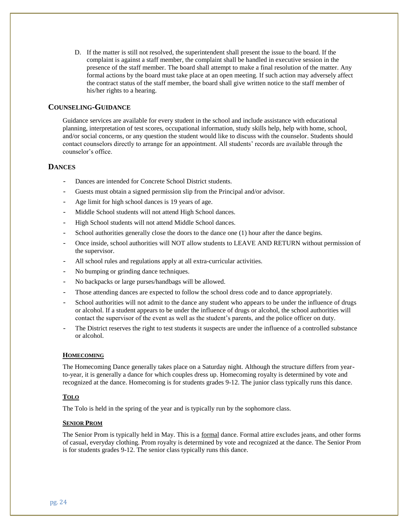D. If the matter is still not resolved, the superintendent shall present the issue to the board. If the complaint is against a staff member, the complaint shall be handled in executive session in the presence of the staff member. The board shall attempt to make a final resolution of the matter. Any formal actions by the board must take place at an open meeting. If such action may adversely affect the contract status of the staff member, the board shall give written notice to the staff member of his/her rights to a hearing.

#### **COUNSELING-GUIDANCE**

Guidance services are available for every student in the school and include assistance with educational planning, interpretation of test scores, occupational information, study skills help, help with home, school, and/or social concerns, or any question the student would like to discuss with the counselor. Students should contact counselors directly to arrange for an appointment. All students' records are available through the counselor's office.

#### **DANCES**

- Dances are intended for Concrete School District students.
- Guests must obtain a signed permission slip from the Principal and/or advisor.
- Age limit for high school dances is 19 years of age.
- Middle School students will not attend High School dances.
- High School students will not attend Middle School dances.
- School authorities generally close the doors to the dance one (1) hour after the dance begins.
- Once inside, school authorities will NOT allow students to LEAVE AND RETURN without permission of the supervisor.
- All school rules and regulations apply at all extra-curricular activities.
- No bumping or grinding dance techniques.
- No backpacks or large purses/handbags will be allowed.
- Those attending dances are expected to follow the school dress code and to dance appropriately.
- School authorities will not admit to the dance any student who appears to be under the influence of drugs or alcohol. If a student appears to be under the influence of drugs or alcohol, the school authorities will contact the supervisor of the event as well as the student's parents, and the police officer on duty.
- The District reserves the right to test students it suspects are under the influence of a controlled substance or alcohol.

#### **HOMECOMING**

The Homecoming Dance generally takes place on a Saturday night. Although the structure differs from yearto-year, it is generally a dance for which couples dress up. Homecoming royalty is determined by vote and recognized at the dance. Homecoming is for students grades 9-12. The junior class typically runs this dance.

#### **TOLO**

The Tolo is held in the spring of the year and is typically run by the sophomore class.

#### **SENIOR PROM**

The Senior Prom is typically held in May. This is a formal dance. Formal attire excludes jeans, and other forms of casual, everyday clothing. Prom royalty is determined by vote and recognized at the dance. The Senior Prom is for students grades 9-12. The senior class typically runs this dance.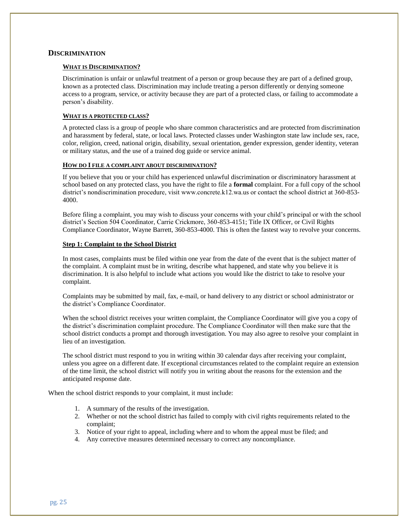#### **DISCRIMINATION**

#### **WHAT IS DISCRIMINATION?**

Discrimination is unfair or unlawful treatment of a person or group because they are part of a defined group, known as a protected class. Discrimination may include treating a person differently or denying someone access to a program, service, or activity because they are part of a protected class, or failing to accommodate a person's disability.

#### **WHAT IS A PROTECTED CLASS?**

A protected class is a group of people who share common characteristics and are protected from discrimination and harassment by federal, state, or local laws. Protected classes under Washington state law include sex, race, color, religion, creed, national origin, disability, sexual orientation, gender expression, gender identity, veteran or military status, and the use of a trained dog guide or service animal.

#### **HOW DO I FILE A COMPLAINT ABOUT DISCRIMINATION?**

If you believe that you or your child has experienced unlawful discrimination or discriminatory harassment at school based on any protected class, you have the right to file a **formal** complaint. For a full copy of the school district's nondiscrimination procedure, visit www.concrete.k12.wa.us or contact the school district at 360-853- 4000.

Before filing a complaint, you may wish to discuss your concerns with your child's principal or with the school district's Section 504 Coordinator, Carrie Crickmore, 360-853-4151; Title IX Officer, or Civil Rights Compliance Coordinator, Wayne Barrett, 360-853-4000. This is often the fastest way to revolve your concerns.

#### **Step 1: Complaint to the School District**

In most cases, complaints must be filed within one year from the date of the event that is the subject matter of the complaint. A complaint must be in writing, describe what happened, and state why you believe it is discrimination. It is also helpful to include what actions you would like the district to take to resolve your complaint.

Complaints may be submitted by mail, fax, e-mail, or hand delivery to any district or school administrator or the district's Compliance Coordinator.

When the school district receives your written complaint, the Compliance Coordinator will give you a copy of the district's discrimination complaint procedure. The Compliance Coordinator will then make sure that the school district conducts a prompt and thorough investigation. You may also agree to resolve your complaint in lieu of an investigation.

The school district must respond to you in writing within 30 calendar days after receiving your complaint, unless you agree on a different date. If exceptional circumstances related to the complaint require an extension of the time limit, the school district will notify you in writing about the reasons for the extension and the anticipated response date.

When the school district responds to your complaint, it must include:

- 1. A summary of the results of the investigation.
- 2. Whether or not the school district has failed to comply with civil rights requirements related to the complaint;
- 3. Notice of your right to appeal, including where and to whom the appeal must be filed; and
- 4. Any corrective measures determined necessary to correct any noncompliance.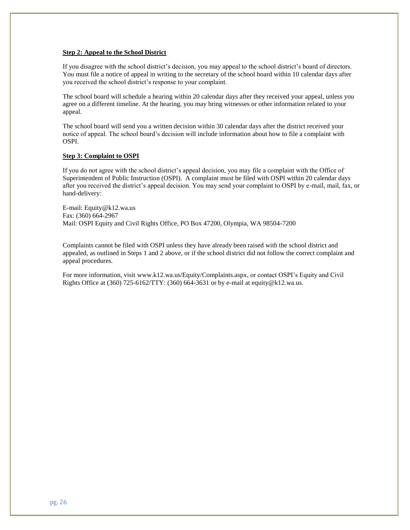#### **Step 2: Appeal to the School District**

If you disagree with the school district's decision, you may appeal to the school district's board of directors. You must file a notice of appeal in writing to the secretary of the school board within 10 calendar days after you received the school district's response to your complaint.

The school board will schedule a hearing within 20 calendar days after they received your appeal, unless you agree on a different timeline. At the hearing, you may bring witnesses or other information related to your appeal.

The school board will send you a written decision within 30 calendar days after the district received your notice of appeal. The school board's decision will include information about how to file a complaint with OSPI.

#### **Step 3: Complaint to OSPI**

If you do not agree with the school district's appeal decision, you may file a complaint with the Office of Superintendent of Public Instruction (OSPI). A complaint must be filed with OSPI within 20 calendar days after you received the district's appeal decision. You may send your complaint to OSPI by e-mail, mail, fax, or hand-delivery:

E-mail: [Equity@k12.wa.us](mailto:Equity@k12.wa.us) Fax: (360) 664-2967 Mail: OSPI Equity and Civil Rights Office, PO Box 47200, Olympia, WA 98504-7200

Complaints cannot be filed with OSPI unless they have already been raised with the school district and appealed, as outlined in Steps 1 and 2 above, or if the school district did not follow the correct complaint and appeal procedures.

For more information, visit [www.k12.wa.us/Equity/Complaints.aspx,](http://www.k12.wa.us/Equity/Complaints.aspx) or contact OSPI's Equity and Civil Rights Office at (360) 725-6162/TTY: (360) 664-3631 or by e-mail at [equity@k12.wa.us.](mailto:equity@k12.wa.us)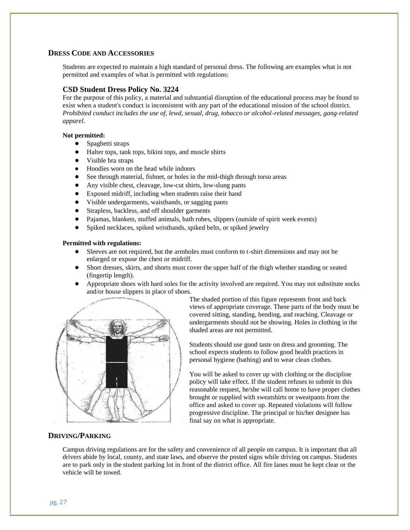#### **DRESS CODE AND ACCESSORIES**

Students are expected to maintain a high standard of personal dress. The following are examples what is not permitted and examples of what is permitted with regulations:

#### **CSD Student Dress Policy No. 3224**

For the purpose of this policy, a material and substantial disruption of the educational process may be found to exist when a student's conduct is inconsistent with any part of the educational mission of the school district. *Prohibited conduct includes the use of, lewd, sexual, drug, tobacco or alcohol-related messages, gang-related apparel.*

#### **Not permitted:**

- Spaghetti straps
- Halter tops, tank tops, bikini tops, and muscle shirts
- Visible bra straps
- Hoodies worn on the head while indoors
- See through material, fishnet, or holes in the mid-thigh through torso areas
- Any visible chest, cleavage, low-cut shirts, low-slung pants
- Exposed midriff, including when students raise their hand
- Visible undergarments, waistbands, or sagging pants
- Strapless, backless, and off shoulder garments
- Pajamas, blankets, stuffed animals, bath robes, slippers (outside of spirit week events)
- Spiked necklaces, spiked wristbands, spiked belts, or spiked jewelry

#### **Permitted with regulations:**

- Sleeves are not required, but the armholes must conform to t-shirt dimensions and may not be enlarged or expose the chest or midriff.
- Short dresses, skirts, and shorts must cover the upper half of the thigh whether standing or seated (fingertip length).
- Appropriate shoes with hard soles for the activity involved are required. You may not substitute socks and/or house slippers in place of shoes.



The shaded portion of this figure represents front and back views of appropriate coverage. These parts of the body must be covered sitting, standing, bending, and reaching. Cleavage or undergarments should not be showing. Holes in clothing in the shaded areas are not permitted.

Students should use good taste on dress and grooming. The school expects students to follow good health practices in personal hygiene (bathing) and to wear clean clothes.

You will be asked to cover up with clothing or the discipline policy will take effect. If the student refuses to submit to this reasonable request, he/she will call home to have proper clothes brought or supplied with sweatshirts or sweatpants from the office and asked to cover up. Repeated violations will follow progressive discipline. The principal or his/her designee has final say on what is appropriate.

#### **DRIVING/PARKING**

Campus driving regulations are for the safety and convenience of all people on campus. It is important that all drivers abide by local, county, and state laws, and observe the posted signs while driving on campus. Students are to park only in the student parking lot in front of the district office. All fire lanes must be kept clear or the vehicle will be towed.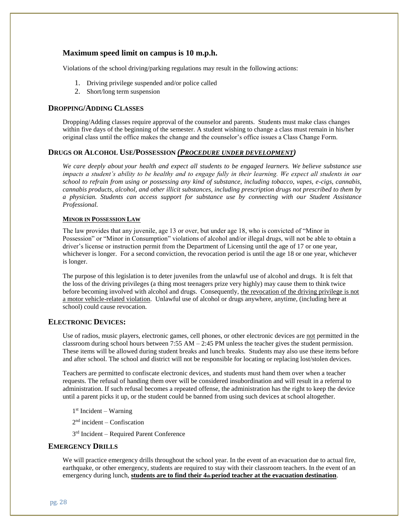#### **Maximum speed limit on campus is 10 m.p.h.**

Violations of the school driving/parking regulations may result in the following actions:

- 1. Driving privilege suspended and/or police called
- 2. Short/long term suspension

#### **DROPPING/ADDING CLASSES**

Dropping/Adding classes require approval of the counselor and parents. Students must make class changes within five days of the beginning of the semester. A student wishing to change a class must remain in his/her original class until the office makes the change and the counselor's office issues a Class Change Form.

#### **DRUGS OR ALCOHOL USE/POSSESSION** *(PROCEDURE UNDER DEVELOPMENT)*

*We care deeply about your health and expect all students to be engaged learners. We believe substance use impacts a student's ability to be healthy and to engage fully in their learning. We expect all students in our school to refrain from using or possessing any kind of substance, including tobacco, vapes, e-cigs, cannabis, cannabis products, alcohol, and other illicit substances, including prescription drugs not prescribed to them by a physician. Students can access support for substance use by connecting with our Student Assistance Professional.*

#### **MINOR IN POSSESSION LAW**

The law provides that any juvenile, age 13 or over, but under age 18, who is convicted of "Minor in Possession" or "Minor in Consumption" violations of alcohol and/or illegal drugs, will not be able to obtain a driver's license or instruction permit from the Department of Licensing until the age of 17 or one year, whichever is longer. For a second conviction, the revocation period is until the age 18 or one year, whichever is longer.

The purpose of this legislation is to deter juveniles from the unlawful use of alcohol and drugs. It is felt that the loss of the driving privileges (a thing most teenagers prize very highly) may cause them to think twice before becoming involved with alcohol and drugs. Consequently, the revocation of the driving privilege is not a motor vehicle-related violation. Unlawful use of alcohol or drugs anywhere, anytime, (including here at school) could cause revocation.

#### **ELECTRONIC DEVICES:**

Use of radios, music players, electronic games, cell phones, or other electronic devices are not permitted in the classroom during school hours between 7:55 AM – 2:45 PM unless the teacher gives the student permission. These items will be allowed during student breaks and lunch breaks. Students may also use these items before and after school. The school and district will not be responsible for locating or replacing lost/stolen devices.

Teachers are permitted to confiscate electronic devices, and students must hand them over when a teacher requests. The refusal of handing them over will be considered insubordination and will result in a referral to administration. If such refusal becomes a repeated offense, the administration has the right to keep the device until a parent picks it up, or the student could be banned from using such devices at school altogether.

1 st Incident – Warning

2 nd incident – Confiscation

3<sup>rd</sup> Incident - Required Parent Conference

#### **EMERGENCY DRILLS**

We will practice emergency drills throughout the school year. In the event of an evacuation due to actual fire, earthquake, or other emergency, students are required to stay with their classroom teachers. In the event of an emergency during lunch, **students are to find their 4th period teacher at the evacuation destination**.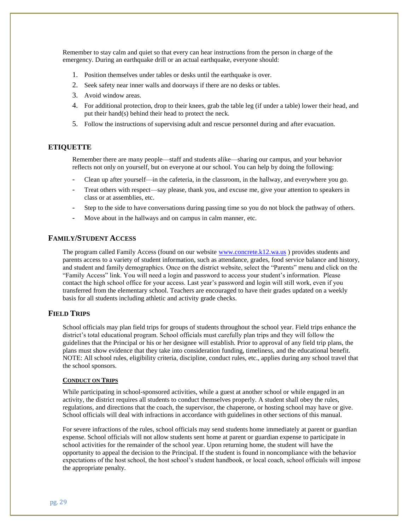Remember to stay calm and quiet so that every can hear instructions from the person in charge of the emergency. During an earthquake drill or an actual earthquake, everyone should:

- 1. Position themselves under tables or desks until the earthquake is over.
- 2. Seek safety near inner walls and doorways if there are no desks or tables.
- 3. Avoid window areas.
- 4. For additional protection, drop to their knees, grab the table leg (if under a table) lower their head, and put their hand(s) behind their head to protect the neck.
- 5. Follow the instructions of supervising adult and rescue personnel during and after evacuation.

#### **ETIQUETTE**

Remember there are many people—staff and students alike—sharing our campus, and your behavior reflects not only on yourself, but on everyone at our school. You can help by doing the following:

- Clean up after yourself—in the cafeteria, in the classroom, in the hallway, and everywhere you go.
- Treat others with respect—say please, thank you, and excuse me, give your attention to speakers in class or at assemblies, etc.
- Step to the side to have conversations during passing time so you do not block the pathway of others.
- Move about in the hallways and on campus in calm manner, etc.

#### **FAMILY/STUDENT ACCESS**

The program called Family Access (found on our website [www.concrete.k12.wa.us](http://www.concrete.k12.wa.us/) ) provides students and parents access to a variety of student information, such as attendance, grades, food service balance and history, and student and family demographics. Once on the district website, select the "Parents" menu and click on the "Family Access" link. You will need a login and password to access your student's information. Please contact the high school office for your access. Last year's password and login will still work, even if you transferred from the elementary school. Teachers are encouraged to have their grades updated on a weekly basis for all students including athletic and activity grade checks.

#### **FIELD TRIPS**

School officials may plan field trips for groups of students throughout the school year. Field trips enhance the district's total educational program. School officials must carefully plan trips and they will follow the guidelines that the Principal or his or her designee will establish. Prior to approval of any field trip plans, the plans must show evidence that they take into consideration funding, timeliness, and the educational benefit. NOTE: All school rules, eligibility criteria, discipline, conduct rules, etc., applies during any school travel that the school sponsors.

#### **CONDUCT ON TRIPS**

While participating in school-sponsored activities, while a guest at another school or while engaged in an activity, the district requires all students to conduct themselves properly. A student shall obey the rules, regulations, and directions that the coach, the supervisor, the chaperone, or hosting school may have or give. School officials will deal with infractions in accordance with guidelines in other sections of this manual.

For severe infractions of the rules, school officials may send students home immediately at parent or guardian expense. School officials will not allow students sent home at parent or guardian expense to participate in school activities for the remainder of the school year. Upon returning home, the student will have the opportunity to appeal the decision to the Principal. If the student is found in noncompliance with the behavior expectations of the host school, the host school's student handbook, or local coach, school officials will impose the appropriate penalty.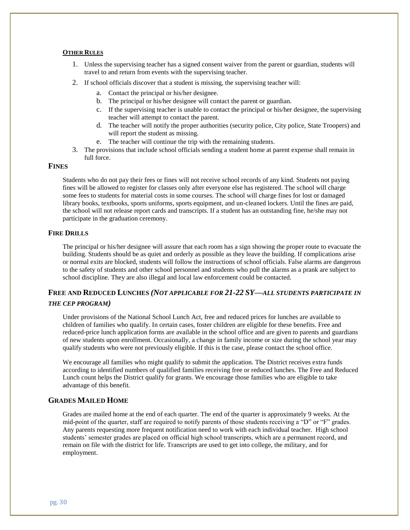#### **OTHER RULES**

- 1. Unless the supervising teacher has a signed consent waiver from the parent or guardian, students will travel to and return from events with the supervising teacher.
- 2. If school officials discover that a student is missing, the supervising teacher will:
	- a. Contact the principal or his/her designee.
	- b. The principal or his/her designee will contact the parent or guardian.
	- c. If the supervising teacher is unable to contact the principal or his/her designee, the supervising teacher will attempt to contact the parent.
	- d. The teacher will notify the proper authorities (security police, City police, State Troopers) and will report the student as missing.
	- e. The teacher will continue the trip with the remaining students.
- 3. The provisions that include school officials sending a student home at parent expense shall remain in full force.

#### **FINES**

Students who do not pay their fees or fines will not receive school records of any kind. Students not paying fines will be allowed to register for classes only after everyone else has registered. The school will charge some fees to students for material costs in some courses. The school will charge fines for lost or damaged library books, textbooks, sports uniforms, sports equipment, and un-cleaned lockers. Until the fines are paid, the school will not release report cards and transcripts. If a student has an outstanding fine, he/she may not participate in the graduation ceremony.

#### **FIRE DRILLS**

The principal or his/her designee will assure that each room has a sign showing the proper route to evacuate the building. Students should be as quiet and orderly as possible as they leave the building. If complications arise or normal exits are blocked, students will follow the instructions of school officials. False alarms are dangerous to the safety of students and other school personnel and students who pull the alarms as a prank are subject to school discipline. They are also illegal and local law enforcement could be contacted.

#### **FREE AND REDUCED LUNCHES** *(NOT APPLICABLE FOR 21-22 SY—ALL STUDENTS PARTICIPATE IN THE CEP PROGRAM)*

Under provisions of the National School Lunch Act, free and reduced prices for lunches are available to children of families who qualify. In certain cases, foster children are eligible for these benefits. Free and reduced-price lunch application forms are available in the school office and are given to parents and guardians of new students upon enrollment. Occasionally, a change in family income or size during the school year may qualify students who were not previously eligible. If this is the case, please contact the school office.

We encourage all families who might qualify to submit the application. The District receives extra funds according to identified numbers of qualified families receiving free or reduced lunches. The Free and Reduced Lunch count helps the District qualify for grants. We encourage those families who are eligible to take advantage of this benefit.

#### **GRADES MAILED HOME**

Grades are mailed home at the end of each quarter. The end of the quarter is approximately 9 weeks. At the mid-point of the quarter, staff are required to notify parents of those students receiving a "D" or "F" grades. Any parents requesting more frequent notification need to work with each individual teacher. High school students' semester grades are placed on official high school transcripts, which are a permanent record, and remain on file with the district for life. Transcripts are used to get into college, the military, and for employment.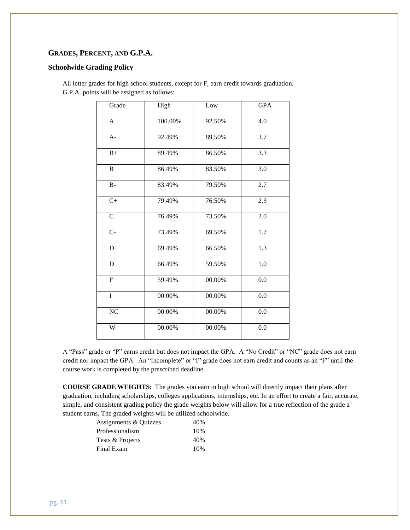#### **GRADES, PERCENT, AND G.P.A.**

#### **Schoolwide Grading Policy**

All letter grades for high school students, except for F, earn credit towards graduation. G.P.A. points will be assigned as follows:

| Grade          | High    | Low    | <b>GPA</b> |
|----------------|---------|--------|------------|
| A              | 100.00% | 92.50% | 4.0        |
| $A-$           | 92.49%  | 89.50% | 3.7        |
| $B+$           | 89.49%  | 86.50% | 3.3        |
| $\, {\bf B}$   | 86.49%  | 83.50% | 3.0        |
| $B -$          | 83.49%  | 79.50% | 2.7        |
| $C+$           | 79.49%  | 76.50% | 2.3        |
| $\mathcal{C}$  | 76.49%  | 73.50% | 2.0        |
| $C -$          | 73.49%  | 69.50% | 1.7        |
| $D+$           | 69.49%  | 66.50% | 1.3        |
| $\mathbf D$    | 66.49%  | 59.50% | $1.0\,$    |
| $\overline{F}$ | 59.49%  | 00.00% | 0.0        |
| $\mathbf I$    | 00.00%  | 00.00% | 0.0        |
| NC             | 00.00%  | 00.00% | $0.0\,$    |
| W              | 00.00%  | 00.00% | 0.0        |

A "Pass" grade or "P" earns credit but does not impact the GPA. A "No Credit" or "NC" grade does not earn credit nor impact the GPA. An "Incomplete" or "I" grade does not earn credit and counts as an "F" until the course work is completed by the prescribed deadline.

**COURSE GRADE WEIGHTS:** The grades you earn in high school will directly impact their plans after graduation, including scholarships, colleges applications, internships, etc. In an effort to create a fair, accurate, simple, and consistent grading policy the grade weights below will allow for a true reflection of the grade a student earns. The graded weights will be utilized schoolwide.

| 40% |
|-----|
| 10% |
| 40% |
| 10% |
|     |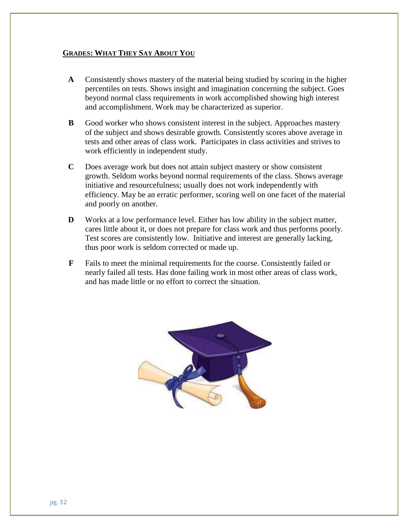#### **GRADES: WHAT THEY SAY ABOUT YOU**

- **A** Consistently shows mastery of the material being studied by scoring in the higher percentiles on tests. Shows insight and imagination concerning the subject. Goes beyond normal class requirements in work accomplished showing high interest and accomplishment. Work may be characterized as superior.
- **B** Good worker who shows consistent interest in the subject. Approaches mastery of the subject and shows desirable growth. Consistently scores above average in tests and other areas of class work. Participates in class activities and strives to work efficiently in independent study.
- **C** Does average work but does not attain subject mastery or show consistent growth. Seldom works beyond normal requirements of the class. Shows average initiative and resourcefulness; usually does not work independently with efficiency. May be an erratic performer, scoring well on one facet of the material and poorly on another.
- **D** Works at a low performance level. Either has low ability in the subject matter, cares little about it, or does not prepare for class work and thus performs poorly. Test scores are consistently low. Initiative and interest are generally lacking, thus poor work is seldom corrected or made up.
- **F** Fails to meet the minimal requirements for the course. Consistently failed or nearly failed all tests. Has done failing work in most other areas of class work, and has made little or no effort to correct the situation.

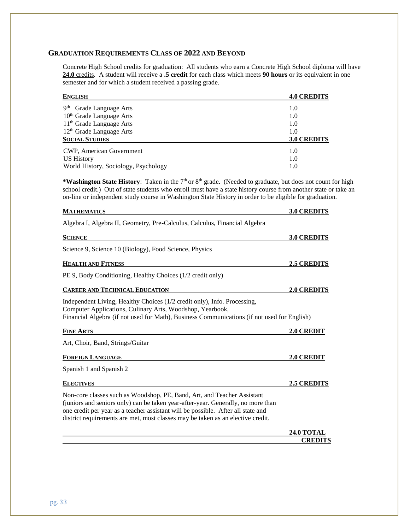#### **GRADUATION REQUIREMENTS CLASS OF 2022 AND BEYOND**

Concrete High School credits for graduation: All students who earn a Concrete High School diploma will have **24.0** credits. A student will receive a **.5 credit** for each class which meets **90 hours** or its equivalent in one semester and for which a student received a passing grade.

| <b>ENGLISH</b>                         | <b>4.0 CREDITS</b> |
|----------------------------------------|--------------------|
| 9 <sup>th</sup><br>Grade Language Arts | 1.0                |
| 10 <sup>th</sup> Grade Language Arts   | 1.0                |
| 11 <sup>th</sup> Grade Language Arts   | 1.0                |
| $12th$ Grade Language Arts             | 1.0                |
| <b>SOCIAL STUDIES</b>                  | <b>3.0 CREDITS</b> |
| CWP, American Government               | 1.0                |
| <b>US History</b>                      | 1.0                |
| World History, Sociology, Psychology   | 1.0                |

\*Washington State History: Taken in the 7<sup>th</sup> or 8<sup>th</sup> grade. (Needed to graduate, but does not count for high school credit.) Out of state students who enroll must have a state history course from another state or take an on-line or independent study course in Washington State History in order to be eligible for graduation.

| <b>MATHEMATICS</b>                                                                                                                                                                                                                                                                                                                 | <b>3.0 CREDITS</b> |
|------------------------------------------------------------------------------------------------------------------------------------------------------------------------------------------------------------------------------------------------------------------------------------------------------------------------------------|--------------------|
| Algebra I, Algebra II, Geometry, Pre-Calculus, Calculus, Financial Algebra                                                                                                                                                                                                                                                         |                    |
| <b>SCIENCE</b>                                                                                                                                                                                                                                                                                                                     | 3.0 CREDITS        |
| Science 9, Science 10 (Biology), Food Science, Physics                                                                                                                                                                                                                                                                             |                    |
| <b>HEALTH AND FITNESS</b>                                                                                                                                                                                                                                                                                                          | 2.5 CREDITS        |
| PE 9, Body Conditioning, Healthy Choices (1/2 credit only)                                                                                                                                                                                                                                                                         |                    |
| <b>CAREER AND TECHNICAL EDUCATION</b>                                                                                                                                                                                                                                                                                              | 2.0 CREDITS        |
| Independent Living, Healthy Choices (1/2 credit only), Info. Processing,<br>Computer Applications, Culinary Arts, Woodshop, Yearbook,<br>Financial Algebra (if not used for Math), Business Communications (if not used for English)                                                                                               |                    |
| <b>FINE ARTS</b>                                                                                                                                                                                                                                                                                                                   | 2.0 CREDIT         |
| Art, Choir, Band, Strings/Guitar                                                                                                                                                                                                                                                                                                   |                    |
| <b>FOREIGN LANGUAGE</b>                                                                                                                                                                                                                                                                                                            | 2.0 CREDIT         |
| Spanish 1 and Spanish 2                                                                                                                                                                                                                                                                                                            |                    |
| <b>ELECTIVES</b>                                                                                                                                                                                                                                                                                                                   | <b>2.5 CREDITS</b> |
| Non-core classes such as Woodshop, PE, Band, Art, and Teacher Assistant<br>(juniors and seniors only) can be taken year-after-year. Generally, no more than<br>one credit per year as a teacher assistant will be possible. After all state and<br>district requirements are met, most classes may be taken as an elective credit. |                    |
|                                                                                                                                                                                                                                                                                                                                    | <b>24.0 TOTAL</b>  |
|                                                                                                                                                                                                                                                                                                                                    | <b>CREDITS</b>     |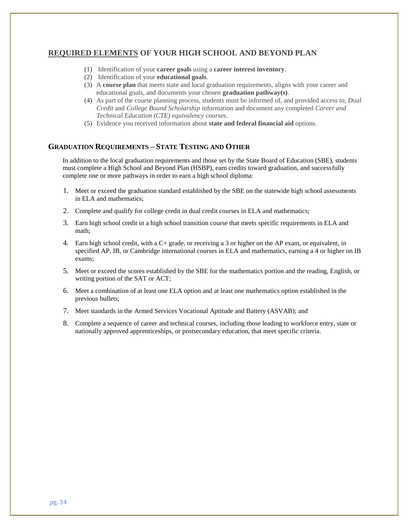#### **REQUIRED ELEMENTS OF YOUR HIGH SCHOOL AND BEYOND PLAN**

- (1) Identification of your **career goals** using a **career interest inventory**.
- (2) Identification of your **educational goals**.
- (3) A **course plan** that meets state and local graduation requirements, aligns with your career and educational goals, and documents your chosen **graduation pathway(s)**.
- (4) As part of the course planning process, students must be informed of, and provided access to, *Dual Credit* and *College Bound Scholarship* information and document any completed *Career and Technical Education (CTE) equivalency courses*.
- (5) Evidence you received information about **state and federal financial aid** options.

#### **GRADUATION REQUIREMENTS – STATE TESTING AND OTHER**

In addition to the local graduation requirements and those set by the State Board of Education (SBE), students must complete a High School and Beyond Plan (HSBP), earn credits toward graduation, and successfully complete one or more pathways in order to earn a high school diploma:

- 1. Meet or exceed the graduation standard established by the SBE on the statewide high school assessments in ELA and mathematics;
- 2. Complete and qualify for college credit in dual credit courses in ELA and mathematics;
- 3. Earn high school credit in a high school transition course that meets specific requirements in ELA and math;
- 4. Earn high school credit, with a C+ grade, or receiving a 3 or higher on the AP exam, or equivalent, in specified AP, IB, or Cambridge international courses in ELA and mathematics, earning a 4 or higher on IB exams;
- 5. Meet or exceed the scores established by the SBE for the mathematics portion and the reading, English, or writing portion of the SAT or ACT;
- 6. Meet a combination of at least one ELA option and at least one mathematics option established in the previous bullets;
- 7. Meet standards in the Armed Services Vocational Aptitude and Battery (ASVAB); and
- 8. Complete a sequence of career and technical courses, including those leading to workforce entry, state or nationally approved apprenticeships, or postsecondary education, that meet specific criteria.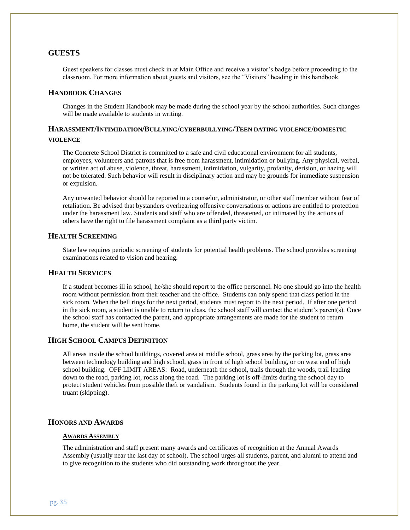#### **GUESTS**

Guest speakers for classes must check in at Main Office and receive a visitor's badge before proceeding to the classroom. For more information about guests and visitors, see the "Visitors" heading in this handbook.

#### **HANDBOOK CHANGES**

Changes in the Student Handbook may be made during the school year by the school authorities. Such changes will be made available to students in writing.

#### **HARASSMENT/INTIMIDATION/BULLYING/CYBERBULLYING/TEEN DATING VIOLENCE/DOMESTIC VIOLENCE**

The Concrete School District is committed to a safe and civil educational environment for all students, employees, volunteers and patrons that is free from harassment, intimidation or bullying. Any physical, verbal, or written act of abuse, violence, threat, harassment, intimidation, vulgarity, profanity, derision, or hazing will not be tolerated. Such behavior will result in disciplinary action and may be grounds for immediate suspension or expulsion.

Any unwanted behavior should be reported to a counselor, administrator, or other staff member without fear of retaliation. Be advised that bystanders overhearing offensive conversations or actions are entitled to protection under the harassment law. Students and staff who are offended, threatened, or intimated by the actions of others have the right to file harassment complaint as a third party victim.

#### **HEALTH SCREENING**

State law requires periodic screening of students for potential health problems. The school provides screening examinations related to vision and hearing.

#### **HEALTH SERVICES**

If a student becomes ill in school, he/she should report to the office personnel. No one should go into the health room without permission from their teacher and the office. Students can only spend that class period in the sick room. When the bell rings for the next period, students must report to the next period. If after one period in the sick room, a student is unable to return to class, the school staff will contact the student's parent(s). Once the school staff has contacted the parent, and appropriate arrangements are made for the student to return home, the student will be sent home.

#### **HIGH SCHOOL CAMPUS DEFINITION**

All areas inside the school buildings, covered area at middle school, grass area by the parking lot, grass area between technology building and high school, grass in front of high school building, or on west end of high school building. OFF LIMIT AREAS: Road, underneath the school, trails through the woods, trail leading down to the road, parking lot, rocks along the road. The parking lot is off-limits during the school day to protect student vehicles from possible theft or vandalism. Students found in the parking lot will be considered truant (skipping).

#### **HONORS AND AWARDS**

#### **AWARDS ASSEMBLY**

The administration and staff present many awards and certificates of recognition at the Annual Awards Assembly (usually near the last day of school). The school urges all students, parent, and alumni to attend and to give recognition to the students who did outstanding work throughout the year.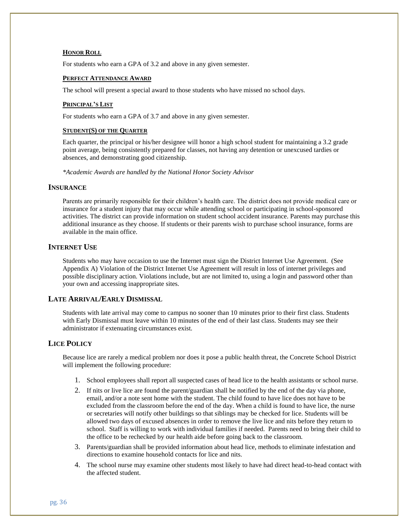#### **HONOR ROLL**

For students who earn a GPA of 3.2 and above in any given semester.

#### **PERFECT ATTENDANCE AWARD**

The school will present a special award to those students who have missed no school days.

#### **PRINCIPAL'S LIST**

For students who earn a GPA of 3.7 and above in any given semester.

#### **STUDENT(S) OF THE QUARTER**

Each quarter, the principal or his/her designee will honor a high school student for maintaining a 3.2 grade point average, being consistently prepared for classes, not having any detention or unexcused tardies or absences, and demonstrating good citizenship.

*\*Academic Awards are handled by the National Honor Society Advisor*

#### **INSURANCE**

Parents are primarily responsible for their children's health care. The district does not provide medical care or insurance for a student injury that may occur while attending school or participating in school-sponsored activities. The district can provide information on student school accident insurance. Parents may purchase this additional insurance as they choose. If students or their parents wish to purchase school insurance, forms are available in the main office.

#### **INTERNET USE**

Students who may have occasion to use the Internet must sign the District Internet Use Agreement. (See Appendix A) Violation of the District Internet Use Agreement will result in loss of internet privileges and possible disciplinary action. Violations include, but are not limited to, using a login and password other than your own and accessing inappropriate sites.

#### **LATE ARRIVAL/EARLY DISMISSAL**

Students with late arrival may come to campus no sooner than 10 minutes prior to their first class. Students with Early Dismissal must leave within 10 minutes of the end of their last class. Students may see their administrator if extenuating circumstances exist.

#### **LICE POLICY**

Because lice are rarely a medical problem nor does it pose a public health threat, the Concrete School District will implement the following procedure:

- 1. School employees shall report all suspected cases of head lice to the health assistants or school nurse.
- 2. If nits or live lice are found the parent/guardian shall be notified by the end of the day via phone, email, and/or a note sent home with the student. The child found to have lice does not have to be excluded from the classroom before the end of the day. When a child is found to have lice, the nurse or secretaries will notify other buildings so that siblings may be checked for lice. Students will be allowed two days of excused absences in order to remove the live lice and nits before they return to school. Staff is willing to work with individual families if needed. Parents need to bring their child to the office to be rechecked by our health aide before going back to the classroom.
- 3. Parents/guardian shall be provided information about head lice, methods to eliminate infestation and directions to examine household contacts for lice and nits.
- 4. The school nurse may examine other students most likely to have had direct head-to-head contact with the affected student.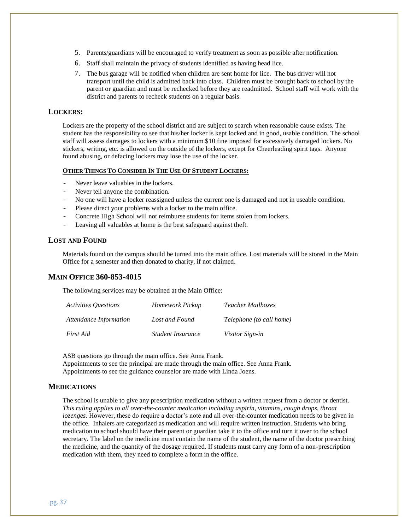- 5. Parents/guardians will be encouraged to verify treatment as soon as possible after notification.
- 6. Staff shall maintain the privacy of students identified as having head lice.
- 7. The bus garage will be notified when children are sent home for lice. The bus driver will not transport until the child is admitted back into class. Children must be brought back to school by the parent or guardian and must be rechecked before they are readmitted. School staff will work with the district and parents to recheck students on a regular basis.

#### **LOCKERS:**

Lockers are the property of the school district and are subject to search when reasonable cause exists. The student has the responsibility to see that his/her locker is kept locked and in good, usable condition. The school staff will assess damages to lockers with a minimum \$10 fine imposed for excessively damaged lockers. No stickers, writing, etc. is allowed on the outside of the lockers, except for Cheerleading spirit tags. Anyone found abusing, or defacing lockers may lose the use of the locker.

#### **OTHER THINGS TO CONSIDER IN THE USE OF STUDENT LOCKERS:**

- Never leave valuables in the lockers.
- Never tell anyone the combination.
- No one will have a locker reassigned unless the current one is damaged and not in useable condition.
- Please direct your problems with a locker to the main office.
- Concrete High School will not reimburse students for items stolen from lockers.
- Leaving all valuables at home is the best safeguard against theft.

#### **LOST AND FOUND**

Materials found on the campus should be turned into the main office. Lost materials will be stored in the Main Office for a semester and then donated to charity, if not claimed.

#### **MAIN OFFICE 360-853-4015**

The following services may be obtained at the Main Office:

| <i><b>Activities Ouestions</b></i> | Homework Pickup   | <i>Teacher Mailboxes</i> |
|------------------------------------|-------------------|--------------------------|
| Attendance Information             | Lost and Found    | Telephone (to call home) |
| First Aid                          | Student Insurance | <i>Visitor Sign-in</i>   |

ASB questions go through the main office. See Anna Frank.

Appointments to see the principal are made through the main office. See Anna Frank. Appointments to see the guidance counselor are made with Linda Joens.

#### **MEDICATIONS**

The school is unable to give any prescription medication without a written request from a doctor or dentist. *This ruling applies to all over-the-counter medication including aspirin, vitamins, cough drops, throat lozenges*. However, these do require a doctor's note and all over-the-counter medication needs to be given in the office. Inhalers are categorized as medication and will require written instruction. Students who bring medication to school should have their parent or guardian take it to the office and turn it over to the school secretary. The label on the medicine must contain the name of the student, the name of the doctor prescribing the medicine, and the quantity of the dosage required. If students must carry any form of a non-prescription medication with them, they need to complete a form in the office.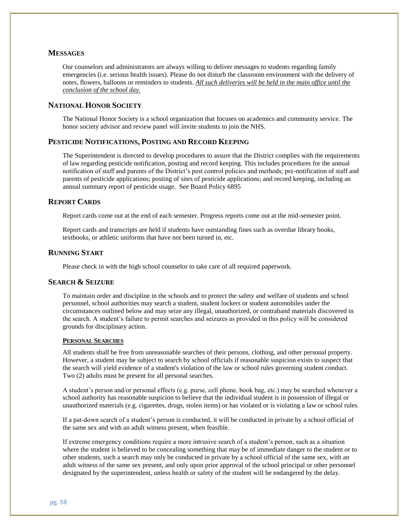#### **MESSAGES**

Our counselors and administrators are always willing to deliver messages to students regarding family emergencies (i.e. serious health issues). Please do not disturb the classroom environment with the delivery of notes, flowers, balloons or reminders to students. *All such deliveries will be held in the main office until the conclusion of the school day.*

#### **NATIONAL HONOR SOCIETY**

The National Honor Society is a school organization that focuses on academics and community service. The honor society advisor and review panel will invite students to join the NHS.

#### **PESTICIDE NOTIFICATIONS, POSTING AND RECORD KEEPING**

The Superintendent is directed to develop procedures to assure that the District complies with the requirements of law regarding pesticide notification, posting and record keeping. This includes procedures for the annual notification of staff and parents of the District's pest control policies and methods; pre-notification of staff and parents of pesticide applications; posting of sites of pesticide applications; and record keeping, including an annual summary report of pesticide usage. See Board Policy 6895

#### **REPORT CARDS**

Report cards come out at the end of each semester. Progress reports come out at the mid-semester point.

Report cards and transcripts are held if students have outstanding fines such as overdue library books, textbooks, or athletic uniforms that have not been turned in, etc.

#### **RUNNING START**

Please check in with the high school counselor to take care of all required paperwork.

#### **SEARCH & SEIZURE**

To maintain order and discipline in the schools and to protect the safety and welfare of students and school personnel, school authorities may search a student, student lockers or student automobiles under the circumstances outlined below and may seize any illegal, unauthorized, or contraband materials discovered in the search. A student's failure to permit searches and seizures as provided in this policy will be considered grounds for disciplinary action.

#### **PERSONAL SEARCHES**

All students shall be free from unreasonable searches of their persons, clothing, and other personal property. However, a student may be subject to search by school officials if reasonable suspicion exists to suspect that the search will yield evidence of a student's violation of the law or school rules governing student conduct. Two (2) adults must be present for all personal searches.

A student's person and/or personal effects (e.g. purse, cell phone, book bag, etc.) may be searched whenever a school authority has reasonable suspicion to believe that the individual student is in possession of illegal or unauthorized materials (e.g. cigarettes, drugs, stolen items) or has violated or is violating a law or school rules.

If a pat-down search of a student's person is conducted, it will be conducted in private by a school official of the same sex and with an adult witness present, when feasible.

If extreme emergency conditions require a more intrusive search of a student's person, such as a situation where the student is believed to be concealing something that may be of immediate danger to the student or to other students, such a search may only be conducted in private by a school official of the same sex, with an adult witness of the same sex present, and only upon prior approval of the school principal or other personnel designated by the superintendent, unless health or safety of the student will be endangered by the delay.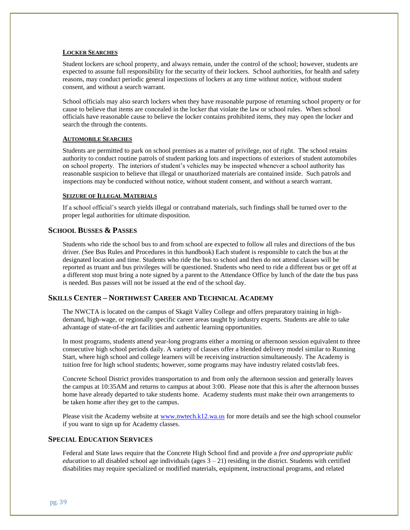#### **LOCKER SEARCHES**

Student lockers are school property, and always remain, under the control of the school; however, students are expected to assume full responsibility for the security of their lockers. School authorities, for health and safety reasons, may conduct periodic general inspections of lockers at any time without notice, without student consent, and without a search warrant.

School officials may also search lockers when they have reasonable purpose of returning school property or for cause to believe that items are concealed in the locker that violate the law or school rules. When school officials have reasonable cause to believe the locker contains prohibited items, they may open the locker and search the through the contents.

#### **AUTOMOBILE SEARCHES**

Students are permitted to park on school premises as a matter of privilege, not of right. The school retains authority to conduct routine patrols of student parking lots and inspections of exteriors of student automobiles on school property. The interiors of student's vehicles may be inspected whenever a school authority has reasonable suspicion to believe that illegal or unauthorized materials are contained inside. Such patrols and inspections may be conducted without notice, without student consent, and without a search warrant.

#### **SEIZURE OF ILLEGAL MATERIALS**

If a school official's search yields illegal or contraband materials, such findings shall be turned over to the proper legal authorities for ultimate disposition.

#### **SCHOOL BUSSES & PASSES**

Students who ride the school bus to and from school are expected to follow all rules and directions of the bus driver. (See Bus Rules and Procedures in this handbook) Each student is responsible to catch the bus at the designated location and time. Students who ride the bus to school and then do not attend classes will be reported as truant and bus privileges will be questioned. Students who need to ride a different bus or get off at a different stop must bring a note signed by a parent to the Attendance Office by lunch of the date the bus pass is needed. Bus passes will not be issued at the end of the school day.

#### **SKILLS CENTER – NORTHWEST CAREER AND TECHNICAL ACADEMY**

The NWCTA is located on the campus of Skagit Valley College and offers preparatory training in highdemand, high-wage, or regionally specific career areas taught by industry experts. Students are able to take advantage of state-of-the art facilities and authentic learning opportunities.

In most programs, students attend year-long programs either a morning or afternoon session equivalent to three consecutive high school periods daily. A variety of classes offer a blended delivery model similar to Running Start, where high school and college learners will be receiving instruction simultaneously. The Academy is tuition free for high school students; however, some programs may have industry related costs/lab fees.

Concrete School District provides transportation to and from only the afternoon session and generally leaves the campus at 10:35AM and returns to campus at about 3:00. Please note that this is after the afternoon busses home have already departed to take students home. Academy students must make their own arrangements to be taken home after they get to the campus.

Please visit the Academy website a[t www.nwtech.k12.wa.us](http://www.nwtech.k12.wa.us/) for more details and see the high school counselor if you want to sign up for Academy classes.

#### **SPECIAL EDUCATION SERVICES**

Federal and State laws require that the Concrete High School find and provide a *free and appropriate public education* to all disabled school age individuals (ages  $3 - 21$ ) residing in the district. Students with certified disabilities may require specialized or modified materials, equipment, instructional programs, and related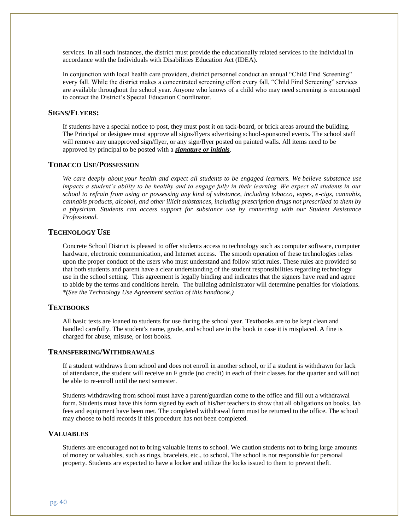services. In all such instances, the district must provide the educationally related services to the individual in accordance with the Individuals with Disabilities Education Act (IDEA).

In conjunction with local health care providers, district personnel conduct an annual "Child Find Screening" every fall. While the district makes a concentrated screening effort every fall, "Child Find Screening" services are available throughout the school year. Anyone who knows of a child who may need screening is encouraged to contact the District's Special Education Coordinator.

#### **SIGNS/FLYERS:**

If students have a special notice to post, they must post it on tack-board, or brick areas around the building. The Principal or designee must approve all signs/flyers advertising school-sponsored events. The school staff will remove any unapproved sign/flyer, or any sign/flyer posted on painted walls. All items need to be approved by principal to be posted with a *signature or initials*.

#### **TOBACCO USE/POSSESSION**

*We care deeply about your health and expect all students to be engaged learners. We believe substance use impacts a student's ability to be healthy and to engage fully in their learning. We expect all students in our school to refrain from using or possessing any kind of substance, including tobacco, vapes, e-cigs, cannabis, cannabis products, alcohol, and other illicit substances, including prescription drugs not prescribed to them by a physician. Students can access support for substance use by connecting with our Student Assistance Professional.*

#### **TECHNOLOGY USE**

Concrete School District is pleased to offer students access to technology such as computer software, computer hardware, electronic communication, and Internet access. The smooth operation of these technologies relies upon the proper conduct of the users who must understand and follow strict rules. These rules are provided so that both students and parent have a clear understanding of the student responsibilities regarding technology use in the school setting. This agreement is legally binding and indicates that the signers have read and agree to abide by the terms and conditions herein. The building administrator will determine penalties for violations. *\*(See the Technology Use Agreement section of this handbook.)*

#### **TEXTBOOKS**

All basic texts are loaned to students for use during the school year. Textbooks are to be kept clean and handled carefully. The student's name, grade, and school are in the book in case it is misplaced. A fine is charged for abuse, misuse, or lost books.

#### **TRANSFERRING/WITHDRAWALS**

If a student withdraws from school and does not enroll in another school, or if a student is withdrawn for lack of attendance, the student will receive an F grade (no credit) in each of their classes for the quarter and will not be able to re-enroll until the next semester.

Students withdrawing from school must have a parent/guardian come to the office and fill out a withdrawal form. Students must have this form signed by each of his/her teachers to show that all obligations on books, lab fees and equipment have been met. The completed withdrawal form must be returned to the office. The school may choose to hold records if this procedure has not been completed.

#### **VALUABLES**

Students are encouraged not to bring valuable items to school. We caution students not to bring large amounts of money or valuables, such as rings, bracelets, etc., to school. The school is not responsible for personal property. Students are expected to have a locker and utilize the locks issued to them to prevent theft.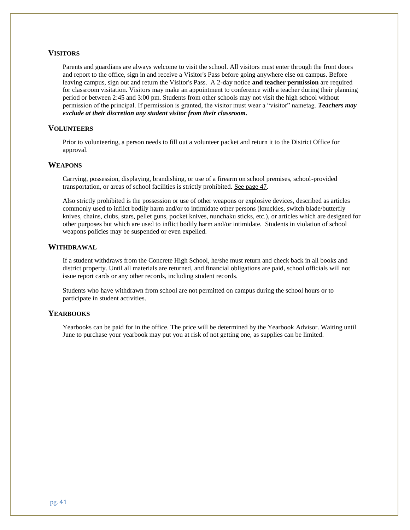#### **VISITORS**

Parents and guardians are always welcome to visit the school. All visitors must enter through the front doors and report to the office, sign in and receive a Visitor's Pass before going anywhere else on campus. Before leaving campus, sign out and return the Visitor's Pass. A 2-day notice **and teacher permission** are required for classroom visitation. Visitors may make an appointment to conference with a teacher during their planning period or between 2:45 and 3:00 pm. Students from other schools may not visit the high school without permission of the principal. If permission is granted, the visitor must wear a "visitor" nametag. *Teachers may exclude at their discretion any student visitor from their classroom.*

#### **VOLUNTEERS**

Prior to volunteering, a person needs to fill out a volunteer packet and return it to the District Office for approval.

#### **WEAPONS**

Carrying, possession, displaying, brandishing, or use of a firearm on school premises, school-provided transportation, or areas of school facilities is strictly prohibited. See page 47.

Also strictly prohibited is the possession or use of other weapons or explosive devices, described as articles commonly used to inflict bodily harm and/or to intimidate other persons (knuckles, switch blade/butterfly knives, chains, clubs, stars, pellet guns, pocket knives, nunchaku sticks, etc.), or articles which are designed for other purposes but which are used to inflict bodily harm and/or intimidate. Students in violation of school weapons policies may be suspended or even expelled.

#### **WITHDRAWAL**

If a student withdraws from the Concrete High School, he/she must return and check back in all books and district property. Until all materials are returned, and financial obligations are paid, school officials will not issue report cards or any other records, including student records.

Students who have withdrawn from school are not permitted on campus during the school hours or to participate in student activities.

#### **YEARBOOKS**

Yearbooks can be paid for in the office. The price will be determined by the Yearbook Advisor. Waiting until June to purchase your yearbook may put you at risk of not getting one, as supplies can be limited.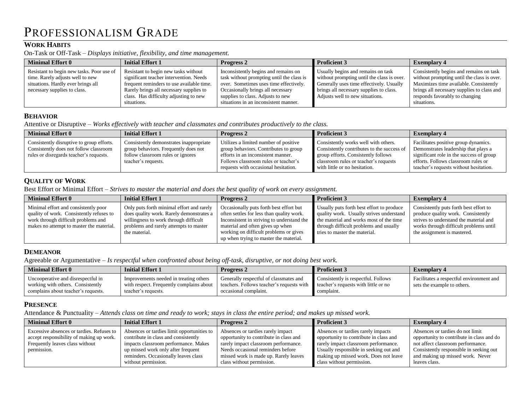# PROFESSIONALISM GRADE

#### **WORK HABITS**

On-Task or Off-Task – *Displays initiative, flexibility, and time management.*

| <b>Minimal Effort 0</b><br>Initial Effort 1<br><b>Progress 2</b>                                                                                                                                                                                                                                                                                                                        |                                                                                                                                                                                                                                                | <b>Proficient 3</b>                                                                                                                                                                                        | <b>Exemplary 4</b>                                                                                                                                                                                                             |
|-----------------------------------------------------------------------------------------------------------------------------------------------------------------------------------------------------------------------------------------------------------------------------------------------------------------------------------------------------------------------------------------|------------------------------------------------------------------------------------------------------------------------------------------------------------------------------------------------------------------------------------------------|------------------------------------------------------------------------------------------------------------------------------------------------------------------------------------------------------------|--------------------------------------------------------------------------------------------------------------------------------------------------------------------------------------------------------------------------------|
| Resistant to begin new tasks without<br>Resistant to begin new tasks. Poor use of<br>significant teacher intervention. Needs<br>time. Rarely adjusts well to new<br>situations. Hardly ever brings all<br>frequent reminders to use available time.<br>Rarely brings all necessary supplies to<br>necessary supplies to class.<br>class. Has difficulty adjusting to new<br>situations. | Inconsistently begins and remains on<br>task without prompting until the class is<br>over. Sometimes uses time effectively.<br>Occasionally brings all necessary<br>supplies to class. Adjusts to new<br>situations in an inconsistent manner. | Usually begins and remains on task<br>without prompting until the class is over.<br>Generally uses time effectively. Usually<br>brings all necessary supplies to class.<br>Adjusts well to new situations. | Consistently begins and remains on task<br>without prompting until the class is over.<br>Maximizes time available. Consistently<br>brings all necessary supplies to class and<br>responds favorably to changing<br>situations. |

#### **BEHAVIOR**

Attentive or Disruptive – *Works effectively with teacher and classmates and contributes productively to the class.*

| <b>Minimal Effort 0</b>                                                                                                        | <b>Initial Effort 1</b>                                                                                                                     | <b>Progress 2</b>                                                                                                                                                                                    | <b>Proficient 3</b>                                                                                                                                                                                 | <b>Exemplary 4</b>                                                                                                                                                                                        |
|--------------------------------------------------------------------------------------------------------------------------------|---------------------------------------------------------------------------------------------------------------------------------------------|------------------------------------------------------------------------------------------------------------------------------------------------------------------------------------------------------|-----------------------------------------------------------------------------------------------------------------------------------------------------------------------------------------------------|-----------------------------------------------------------------------------------------------------------------------------------------------------------------------------------------------------------|
| Consistently disruptive to group efforts.<br>Consistently does not follow classroom<br>rules or disregards teacher's requests. | Consistently demonstrates inappropriate<br>group behaviors. Frequently does not<br>follow classroom rules or ignores<br>teacher's requests. | Utilizes a limited number of positive<br>group behaviors. Contributes to group<br>efforts in an inconsistent manner.<br>Follows classroom rules or teacher's<br>requests with occasional hesitation. | Consistently works well with others.<br>Consistently contributes to the success of<br>group efforts. Consistently follows<br>classroom rules or teacher's requests<br>with little or no hesitation. | Facilitates positive group dynamics.<br>Demonstrates leadership that plays a<br>significant role in the success of group<br>efforts. Follows classroom rules or<br>teacher's requests without hesitation. |

#### **QUALITY OF WORK**

Best Effort or Minimal Effort – *Strives to master the material and does the best quality of work on every assignment.*

| <b>Minimal Effort 0</b>                                                                                                                                             | <b>Initial Effort 1</b>                                                                                                                                                                   | <b>Progress 2</b>                                                                                                                                                                                                                                          | <b>Proficient 3</b>                                                                                                                                                                                         | <b>Exemplary 4</b>                                                                                                                                                                              |
|---------------------------------------------------------------------------------------------------------------------------------------------------------------------|-------------------------------------------------------------------------------------------------------------------------------------------------------------------------------------------|------------------------------------------------------------------------------------------------------------------------------------------------------------------------------------------------------------------------------------------------------------|-------------------------------------------------------------------------------------------------------------------------------------------------------------------------------------------------------------|-------------------------------------------------------------------------------------------------------------------------------------------------------------------------------------------------|
| Minimal effort and consistently poor<br>quality of work. Consistently refuses to<br>work through difficult problems and<br>makes no attempt to master the material. | Only puts forth minimal effort and rarely<br>does quality work. Rarely demonstrates a<br>willingness to work through difficult<br>problems and rarely attempts to master<br>the material. | Occasionally puts forth best effort but<br>often settles for less than quality work.<br>Inconsistent in striving to understand the<br>material and often gives up when<br>working on difficult problems or gives<br>up when trying to master the material. | Usually puts forth best effort to produce<br>quality work. Usually strives understand<br>the material and works most of the time<br>through difficult problems and usually<br>tries to master the material. | Consistently puts forth best effort to<br>produce quality work. Consistently<br>strives to understand the material and<br>works through difficult problems until<br>the assignment is mastered. |

#### **DEMEANOR**

Agreeable or Argumentative – *Is respectful when confronted about being off-task, disruptive, or not doing best work.*

| <b>Minimal Effort 0</b>                                                                                        | Initial Effort 1                                                                                          | <b>Progress 2</b>                                                                                            | Proficient 3                                                                              | <b>Exemplary</b> 4                                                      |
|----------------------------------------------------------------------------------------------------------------|-----------------------------------------------------------------------------------------------------------|--------------------------------------------------------------------------------------------------------------|-------------------------------------------------------------------------------------------|-------------------------------------------------------------------------|
| Uncooperative and disrespectful in<br>working with others. Consistently<br>complains about teacher's requests. | Improvements needed in treating others<br>with respect. Frequently complains about<br>teacher's requests. | Generally respectful of classmates and<br>teachers. Follows teacher's requests with<br>occasional complaint. | Consistently is respectful. Follows<br>teacher's requests with little or no<br>complaint. | Facilitates a respectful environment and<br>sets the example to others. |

#### **PRESENCE**

Attendance & Punctuality – *Attends class on time and ready to work; stays in class the entire period; and makes up missed work.*

| <b>Minimal Effort 0</b>                                                                                                                 | Initial Effort 1                                                                                                                                                                                                                | <b>Progress 2</b>                                                                                                                                                                                                              | <b>Proficient 3</b>                                                                                                                                                                                                                  | <b>Exemplary 4</b>                                                                                                                                                                                                 |
|-----------------------------------------------------------------------------------------------------------------------------------------|---------------------------------------------------------------------------------------------------------------------------------------------------------------------------------------------------------------------------------|--------------------------------------------------------------------------------------------------------------------------------------------------------------------------------------------------------------------------------|--------------------------------------------------------------------------------------------------------------------------------------------------------------------------------------------------------------------------------------|--------------------------------------------------------------------------------------------------------------------------------------------------------------------------------------------------------------------|
| Excessive absences or tardies. Refuses to<br>accept responsibility of making up work.<br>Frequently leaves class without<br>permission. | Absences or tardies limit opportunities to<br>contribute in class and consistently<br>impacts classroom performance. Makes<br>up missed work only after frequent<br>reminders. Occasionally leaves class<br>without permission. | Absences or tardies rarely impact<br>opportunity to contribute in class and<br>rarely impact classroom performance.<br>Needs occasional reminders before<br>missed work is made up. Rarely leaves<br>class without permission. | Absences or tardies rarely impacts<br>opportunity to contribute in class and<br>rarely impact classroom performance.<br>Usually responsible in seeking out and<br>making up missed work. Does not leave<br>class without permission. | Absences or tardies do not limit<br>opportunity to contribute in class and do<br>not affect classroom performance.<br>Consistently responsible in seeking out<br>and making up missed work. Never<br>leaves class. |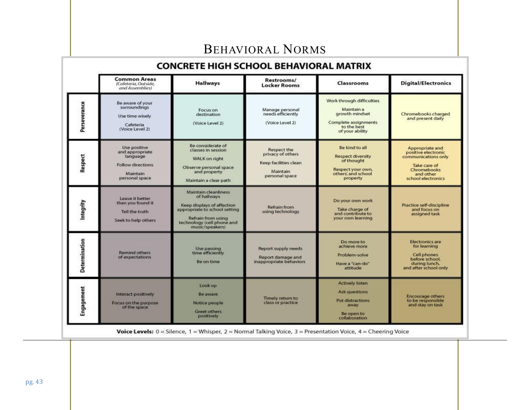# BEHAVIORAL NORMS

#### **CONCRETE HIGH SCHOOL BEHAVIORAL MATRIX Common Areas** Restrooms/ **Digital/Electronics Hallways** Classrooms (Cafeteria, Outside, **Locker Rooms** and Assemblies) Work through difficulties Be aware of your Perseverance surroundings Manage personal<br>needs efficiently Maintain a Focus on growth mindset Chromebooks charged destination Use time wisely and present daily Complete assignments (Voice Level 2) (Voice Level 2) Cafeteria to the best (Voice Level 2) of your ability Be considerate of Use positive Be kind to all Appropriate and Respect the classes in session and appropriate positive electronic privacy of others Respect **Respect diversity** communications only language WALK on right of thought Keep facilities clean Follow directions Take care of Observe personal space Respect your own. Chromebooks Maintain and property others, and school Maintain and other personal space personal space property school electronics Maintain a clear path Maintain cleanliness of hallways Leave it better Do your own work Integrity than you found it Keep displays of affection<br>appropriate to school setting Practice self-discipline Refrain from Take charge of and focus on Tell the truth using technology and contribute to assigned task Refrain from using your own learning Seek to help others technology (cell phone and<br>music/speakers) Determination **Electronics** are Do more to for learning achieve more Use passing<br>time efficiently Report supply needs **Remind others** Problem-solve Cell phones of expectations Report damage and before school, Be on time inappropriate behaviors Have a "can-do" during lunch. attitude and after school only **Actively listen** Look up Engagement **Ask questions** Interact positively Be aware **Encourage others** Timely return to to be responsible Put distractions Focus on the purpose Notice people class or practice and stay on task away of the space Greet others Be open to positively collaboration

**Voice Levels:**  $0 =$  Silence,  $1 =$  Whisper,  $2 =$  Normal Talking Voice,  $3 =$  Presentation Voice,  $4 =$  Cheering Voice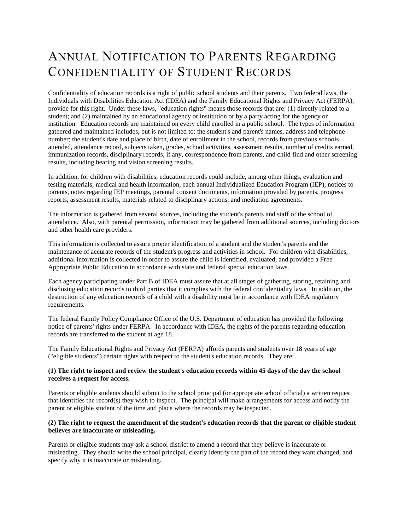# ANNUAL NOTIFICATION TO PARENTS REGARDING CONFIDENTIALITY OF STUDENT RECORDS

Confidentiality of education records is a right of public school students and their parents. Two federal laws, the Individuals with Disabilities Education Act (IDEA) and the Family Educational Rights and Privacy Act (FERPA), provide for this right. Under these laws, "education rights" means those records that are: (1) directly related to a student; and (2) maintained by an educational agency or institution or by a party acting for the agency or institution. Education records are maintained on every child enrolled in a public school. The types of information gathered and maintained includes, but is not limited to: the student's and parent's names, address and telephone number; the student's date and place of birth, date of enrollment in the school, records from previous schools attended, attendance record, subjects taken, grades, school activities, assessment results, number of credits earned, immunization records, disciplinary records, if any, correspondence from parents, and child find and other screening results, including hearing and vision screening results.

In addition, for children with disabilities, education records could include, among other things, evaluation and testing materials, medical and health information, each annual Individualized Education Program (IEP), notices to parents, notes regarding IEP meetings, parental consent documents, information provided by parents, progress reports, assessment results, materials related to disciplinary actions, and mediation agreements.

The information is gathered from several sources, including the student's parents and staff of the school of attendance. Also, with parental permission, information may be gathered from additional sources, including doctors and other health care providers.

This information is collected to assure proper identification of a student and the student's parents and the maintenance of accurate records of the student's progress and activities in school. For children with disabilities, additional information is collected in order to assure the child is identified, evaluated, and provided a Free Appropriate Public Education in accordance with state and federal special education laws.

Each agency participating under Part B of IDEA must assure that at all stages of gathering, storing, retaining and disclosing education records to third parties that it complies with the federal confidentiality laws. In addition, the destruction of any education records of a child with a disability must be in accordance with IDEA regulatory requirements.

The federal Family Policy Compliance Office of the U.S. Department of education has provided the following notice of parents' rights under FERPA. In accordance with IDEA, the rights of the parents regarding education records are transferred to the student at age 18.

The Family Educational Rights and Privacy Act (FERPA) affords parents and students over 18 years of age ("eligible students") certain rights with respect to the student's education records. They are:

#### **(1) The right to inspect and review the student's education records within 45 days of the day the school receives a request for access.**

Parents or eligible students should submit to the school principal (or appropriate school official) a written request that identifies the record(s) they wish to inspect. The principal will make arrangements for access and notify the parent or eligible student of the time and place where the records may be inspected.

#### **(2) The right to request the amendment of the student's education records that the parent or eligible student believes are inaccurate or misleading.**

Parents or eligible students may ask a school district to amend a record that they believe is inaccurate or misleading. They should write the school principal, clearly identify the part of the record they want changed, and specify why it is inaccurate or misleading.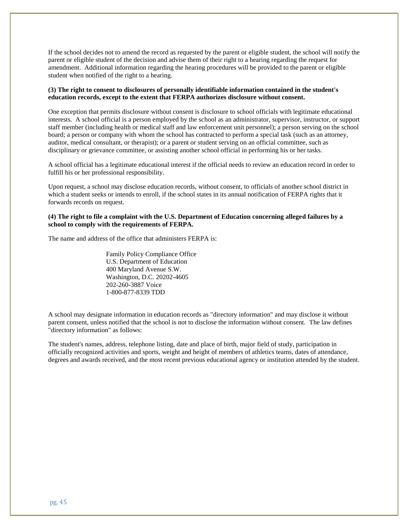If the school decides not to amend the record as requested by the parent or eligible student, the school will notify the parent or eligible student of the decision and advise them of their right to a hearing regarding the request for amendment. Additional information regarding the hearing procedures will be provided to the parent or eligible student when notified of the right to a hearing.

#### **(3) The right to consent to disclosures of personally identifiable information contained in the student's education records, except to the extent that FERPA authorizes disclosure without consent.**

One exception that permits disclosure without consent is disclosure to school officials with legitimate educational interests. A school official is a person employed by the school as an administrator, supervisor, instructor, or support staff member (including health or medical staff and law enforcement unit personnel); a person serving on the school board; a person or company with whom the school has contracted to perform a special task (such as an attorney, auditor, medical consultant, or therapist); or a parent or student serving on an official committee, such as disciplinary or grievance committee, or assisting another school official in performing his or her tasks.

A school official has a legitimate educational interest if the official needs to review an education record in order to fulfill his or her professional responsibility.

Upon request, a school may disclose education records, without consent, to officials of another school district in which a student seeks or intends to enroll, if the school states in its annual notification of FERPA rights that it forwards records on request.

#### **(4) The right to file a complaint with the U.S. Department of Education concerning alleged failures by a school to comply with the requirements of FERPA.**

The name and address of the office that administers FERPA is:

Family Policy Compliance Office U.S. Department of Education 400 Maryland Avenue S.W. Washington, D.C. 20202-4605 202-260-3887 Voice 1-800-877-8339 TDD

A school may designate information in education records as "directory information" and may disclose it without parent consent, unless notified that the school is not to disclose the information without consent. The law defines "directory information" as follows:

The student's names, address, telephone listing, date and place of birth, major field of study, participation in officially recognized activities and sports, weight and height of members of athletics teams, dates of attendance, degrees and awards received, and the most recent previous educational agency or institution attended by the student.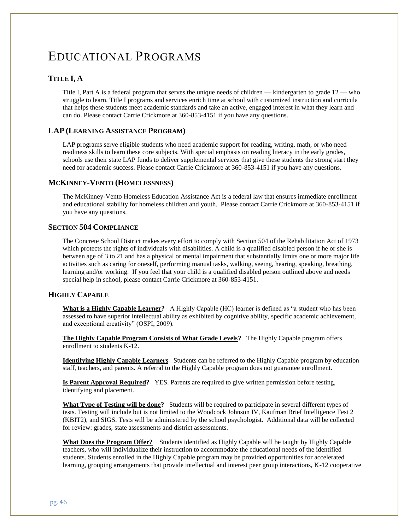# EDUCATIONAL PROGRAMS

#### **TITLE I, A**

Title I, Part A is a federal program that serves the unique needs of children — kindergarten to grade 12 — who struggle to learn. Title I programs and services enrich time at school with customized instruction and curricula that helps these students meet academic standards and take an active, engaged interest in what they learn and can do. Please contact Carrie Crickmore at 360-853-4151 if you have any questions.

#### **LAP (LEARNING ASSISTANCE PROGRAM)**

LAP programs serve eligible students who need academic support for reading, writing, math, or who need readiness skills to learn these core subjects. With special emphasis on reading literacy in the early grades, schools use their state LAP funds to deliver supplemental services that give these students the strong start they need for academic success. Please contact Carrie Crickmore at 360-853-4151 if you have any questions.

#### **MCKINNEY-VENTO (HOMELESSNESS)**

The McKinney-Vento Homeless Education Assistance Act is a federal law that ensures immediate enrollment and educational stability for homeless children and youth. Please contact Carrie Crickmore at 360-853-4151 if you have any questions.

#### **SECTION 504 COMPLIANCE**

The Concrete School District makes every effort to comply with Section 504 of the Rehabilitation Act of 1973 which protects the rights of individuals with disabilities. A child is a qualified disabled person if he or she is between age of 3 to 21 and has a physical or mental impairment that substantially limits one or more major life activities such as caring for oneself, performing manual tasks, walking, seeing, hearing, speaking, breathing, learning and/or working. If you feel that your child is a qualified disabled person outlined above and needs special help in school, please contact Carrie Crickmore at 360-853-4151.

#### **HIGHLY CAPABLE**

**What is a Highly Capable Learner?** A Highly Capable (HC) learner is defined as "a student who has been assessed to have superior intellectual ability as exhibited by cognitive ability, specific academic achievement, and exceptional creativity" (OSPI, 2009).

**The Highly Capable Program Consists of What Grade Levels?** The Highly Capable program offers enrollment to students K-12.

**Identifying Highly Capable Learners** Students can be referred to the Highly Capable program by education staff, teachers, and parents. A referral to the Highly Capable program does not guarantee enrollment.

**Is Parent Approval Required?** YES. Parents are required to give written permission before testing, identifying and placement.

**What Type of Testing will be done?** Students will be required to participate in several different types of tests. Testing will include but is not limited to the Woodcock Johnson IV, Kaufman Brief Intelligence Test 2 (KBIT2), and SIGS. Tests will be administered by the school psychologist. Additional data will be collected for review: grades, state assessments and district assessments.

**What Does the Program Offer?** Students identified as Highly Capable will be taught by Highly Capable teachers, who will individualize their instruction to accommodate the educational needs of the identified students. Students enrolled in the Highly Capable program may be provided opportunities for accelerated learning, grouping arrangements that provide intellectual and interest peer group interactions, K-12 cooperative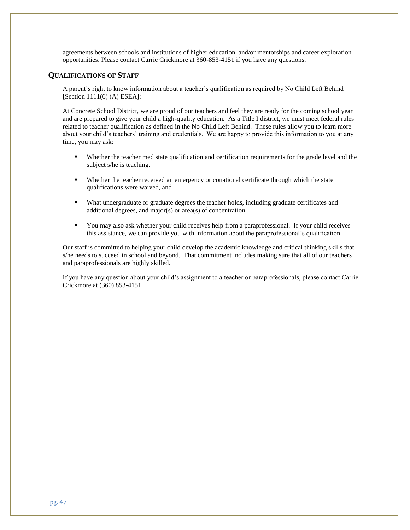agreements between schools and institutions of higher education, and/or mentorships and career exploration opportunities. Please contact Carrie Crickmore at 360-853-4151 if you have any questions.

#### **QUALIFICATIONS OF STAFF**

A parent's right to know information about a teacher's qualification as required by No Child Left Behind [Section 1111(6) (A) ESEA]:

At Concrete School District, we are proud of our teachers and feel they are ready for the coming school year and are prepared to give your child a high-quality education. As a Title I district, we must meet federal rules related to teacher qualification as defined in the No Child Left Behind. These rules allow you to learn more about your child's teachers' training and credentials. We are happy to provide this information to you at any time, you may ask:

- Whether the teacher med state qualification and certification requirements for the grade level and the subject s/he is teaching.
- Whether the teacher received an emergency or conational certificate through which the state qualifications were waived, and
- What undergraduate or graduate degrees the teacher holds, including graduate certificates and additional degrees, and major(s) or area(s) of concentration.
- You may also ask whether your child receives help from a paraprofessional. If your child receives this assistance, we can provide you with information about the paraprofessional's qualification.

Our staff is committed to helping your child develop the academic knowledge and critical thinking skills that s/he needs to succeed in school and beyond. That commitment includes making sure that all of our teachers and paraprofessionals are highly skilled.

If you have any question about your child's assignment to a teacher or paraprofessionals, please contact Carrie Crickmore at (360) 853-4151.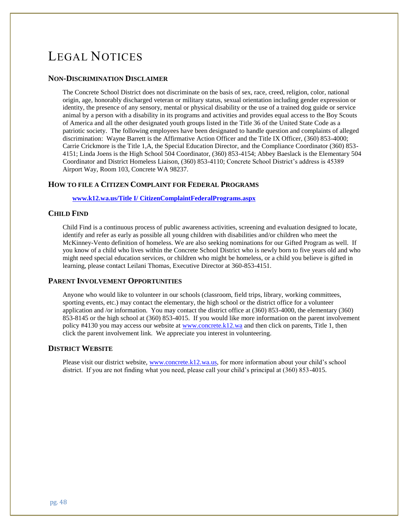# LEGAL NOTICES

#### **NON-DISCRIMINATION DISCLAIMER**

The Concrete School District does not discriminate on the basis of sex, race, creed, religion, color, national origin, age, honorably discharged veteran or military status, sexual orientation including gender expression or identity, the presence of any sensory, mental or physical disability or the use of a trained dog guide or service animal by a person with a disability in its programs and activities and provides equal access to the Boy Scouts of America and all the other designated youth groups listed in the Title 36 of the United State Code as a patriotic society. The following employees have been designated to handle question and complaints of alleged discrimination: Wayne Barrett is the Affirmative Action Officer and the Title IX Officer, (360) 853-4000; Carrie Crickmore is the Title 1,A, the Special Education Director, and the Compliance Coordinator (360) 853- 4151; Linda Joens is the High School 504 Coordinator, (360) 853-4154; Abbey Baeslack is the Elementary 504 Coordinator and District Homeless Liaison, (360) 853-4110; Concrete School District's address is 45389 Airport Way, Room 103, Concrete WA 98237.

#### **HOW TO FILE A CITIZEN COMPLAINT FOR FEDERAL PROGRAMS**

**[www.k12.wa.us/Title I/ CitizenComplaintFederalPrograms.aspx](http://www.k12.wa.us/Title%20I/%20CitizenComplaintFederalPrograms.aspx)**

#### **CHILD FIND**

Child Find is a continuous process of public awareness activities, screening and evaluation designed to locate, identify and refer as early as possible all young children with disabilities and/or children who meet the McKinney-Vento definition of homeless. We are also seeking nominations for our Gifted Program as well. If you know of a child who lives within the Concrete School District who is newly born to five years old and who might need special education services, or children who might be homeless, or a child you believe is gifted in learning, please contact Leilani Thomas, Executive Director at 360-853-4151.

#### **PARENT INVOLVEMENT OPPORTUNITIES**

Anyone who would like to volunteer in our schools (classroom, field trips, library, working committees, sporting events, etc.) may contact the elementary, the high school or the district office for a volunteer application and /or information. You may contact the district office at (360) 853-4000, the elementary (360) 853-8145 or the high school at (360) 853-4015. If you would like more information on the parent involvement policy #4130 you may access our website at [www.concrete.k12.wa](http://www.concrete.k12.wa/) and then click on parents, Title 1, then click the parent involvement link. We appreciate you interest in volunteering.

#### **DISTRICT WEBSITE**

Please visit our district website, [www.concrete.k12.wa.us,](http://www.concrete.k12.wa.us/) for more information about your child's school district. If you are not finding what you need, please call your child's principal at (360) 853-4015.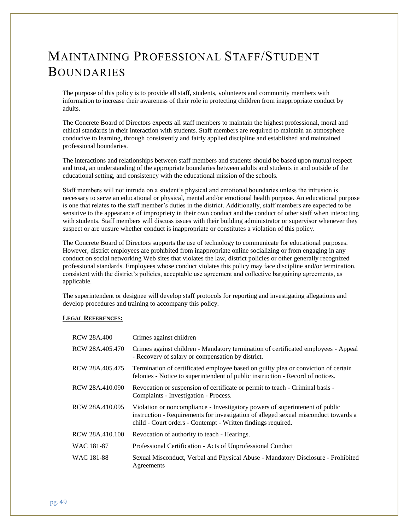# MAINTAINING PROFESSIONAL STAFF/STUDENT BOUNDARIES

The purpose of this policy is to provide all staff, students, volunteers and community members with information to increase their awareness of their role in protecting children from inappropriate conduct by adults.

The Concrete Board of Directors expects all staff members to maintain the highest professional, moral and ethical standards in their interaction with students. Staff members are required to maintain an atmosphere conducive to learning, through consistently and fairly applied discipline and established and maintained professional boundaries.

The interactions and relationships between staff members and students should be based upon mutual respect and trust, an understanding of the appropriate boundaries between adults and students in and outside of the educational setting, and consistency with the educational mission of the schools.

Staff members will not intrude on a student's physical and emotional boundaries unless the intrusion is necessary to serve an educational or physical, mental and/or emotional health purpose. An educational purpose is one that relates to the staff member's duties in the district. Additionally, staff members are expected to be sensitive to the appearance of impropriety in their own conduct and the conduct of other staff when interacting with students. Staff members will discuss issues with their building administrator or supervisor whenever they suspect or are unsure whether conduct is inappropriate or constitutes a violation of this policy.

The Concrete Board of Directors supports the use of technology to communicate for educational purposes. However, district employees are prohibited from inappropriate online socializing or from engaging in any conduct on social networking Web sites that violates the law, district policies or other generally recognized professional standards. Employees whose conduct violates this policy may face discipline and/or termination, consistent with the district's policies, acceptable use agreement and collective bargaining agreements, as applicable.

The superintendent or designee will develop staff protocols for reporting and investigating allegations and develop procedures and training to accompany this policy.

#### **LEGAL REFERENCES:**

| <b>RCW 28A.400</b> | Crimes against children                                                                                                                                                                                                             |
|--------------------|-------------------------------------------------------------------------------------------------------------------------------------------------------------------------------------------------------------------------------------|
| RCW 28A.405.470    | Crimes against children - Mandatory termination of certificated employees - Appeal<br>- Recovery of salary or compensation by district.                                                                                             |
| RCW 28A.405.475    | Termination of certificated employee based on guilty plea or conviction of certain<br>felonies - Notice to superintendent of public instruction - Record of notices.                                                                |
| RCW 28A.410.090    | Revocation or suspension of certificate or permit to teach - Criminal basis -<br>Complaints - Investigation - Process.                                                                                                              |
| RCW 28A.410.095    | Violation or noncompliance - Investigatory powers of superintenent of public<br>instruction - Requirements for investigation of alleged sexual misconduct towards a<br>child - Court orders - Contempt - Written findings required. |
| RCW 28A.410.100    | Revocation of authority to teach - Hearings.                                                                                                                                                                                        |
| WAC 181-87         | Professional Certification - Acts of Unprofessional Conduct                                                                                                                                                                         |
| WAC 181-88         | Sexual Misconduct, Verbal and Physical Abuse - Mandatory Disclosure - Prohibited<br>Agreements                                                                                                                                      |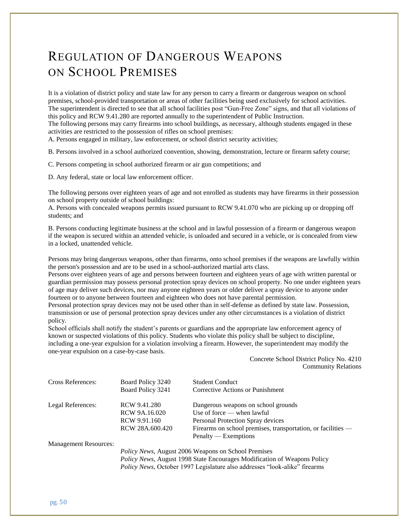# REGULATION OF DANGEROUS WEAPONS ON SCHOOL PREMISES

It is a violation of district policy and state law for any person to carry a firearm or dangerous weapon on school premises, school-provided transportation or areas of other facilities being used exclusively for school activities. The superintendent is directed to see that all school facilities post "Gun-Free Zone" signs, and that all violations of this policy and RCW 9.41.280 are reported annually to the superintendent of Public Instruction. The following persons may carry firearms into school buildings, as necessary, although students engaged in these activities are restricted to the possession of rifles on school premises:

A. Persons engaged in military, law enforcement, or school district security activities;

B. Persons involved in a school authorized convention, showing, demonstration, lecture or firearm safety course;

C. Persons competing in school authorized firearm or air gun competitions; and

D. Any federal, state or local law enforcement officer.

The following persons over eighteen years of age and not enrolled as students may have firearms in their possession on school property outside of school buildings:

A. Persons with concealed weapons permits issued pursuant to RCW 9.41.070 who are picking up or dropping off students; and

B. Persons conducting legitimate business at the school and in lawful possession of a firearm or dangerous weapon if the weapon is secured within an attended vehicle, is unloaded and secured in a vehicle, or is concealed from view in a locked, unattended vehicle.

Persons may bring dangerous weapons, other than firearms, onto school premises if the weapons are lawfully within the person's possession and are to be used in a school-authorized martial arts class.

Persons over eighteen years of age and persons between fourteen and eighteen years of age with written parental or guardian permission may possess personal protection spray devices on school property. No one under eighteen years of age may deliver such devices, nor may anyone eighteen years or older deliver a spray device to anyone under fourteen or to anyone between fourteen and eighteen who does not have parental permission.

Personal protection spray devices may not be used other than in self-defense as defined by state law. Possession, transmission or use of personal protection spray devices under any other circumstances is a violation of district policy.

School officials shall notify the student's parents or guardians and the appropriate law enforcement agency of known or suspected violations of this policy. Students who violate this policy shall be subject to discipline, including a one-year expulsion for a violation involving a firearm. However, the superintendent may modify the one-year expulsion on a case-by-case basis.

#### Concrete School District Policy No. 4210 Community Relations

| Cross References:            | Board Policy 3240<br>Board Policy 3241                                     | <b>Student Conduct</b><br>Corrective Actions or Punishment     |  |
|------------------------------|----------------------------------------------------------------------------|----------------------------------------------------------------|--|
| Legal References:            | RCW 9.41.280                                                               | Dangerous weapons on school grounds                            |  |
|                              | RCW 9A.16.020                                                              | Use of force $-$ when lawful                                   |  |
|                              | RCW 9.91.160                                                               | Personal Protection Spray devices                              |  |
|                              | RCW 28A.600.420                                                            | Firearms on school premises, transportation, or facilities $-$ |  |
|                              |                                                                            | $Penalty$ $\rightarrow$ Exemptions                             |  |
| <b>Management Resources:</b> |                                                                            |                                                                |  |
|                              | <i>Policy News, August 2006 Weapons on School Premises</i>                 |                                                                |  |
|                              | Policy News, August 1998 State Encourages Modification of Weapons Policy   |                                                                |  |
|                              | Policy News, October 1997 Legislature also addresses "look-alike" firearms |                                                                |  |

pg. 50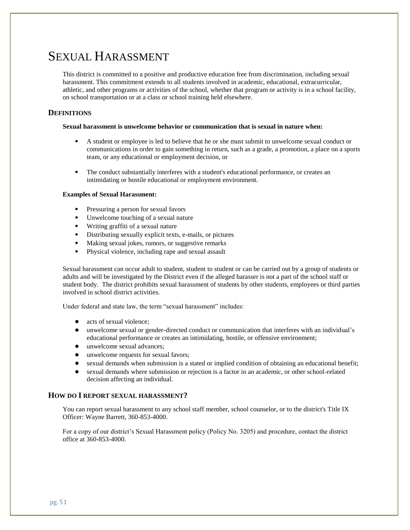# SEXUAL HARASSMENT

This district is committed to a positive and productive education free from discrimination, including sexual harassment. This commitment extends to all students involved in academic, educational, extracurricular, athletic, and other programs or activities of the school, whether that program or activity is in a school facility, on school transportation or at a class or school training held elsewhere.

#### **DEFINITIONS**

#### **Sexual harassment is unwelcome behavior or communication that is sexual in nature when:**

- A student or employee is led to believe that he or she must submit to unwelcome sexual conduct or communications in order to gain something in return, such as a grade, a promotion, a place on a sports team, or any educational or employment decision, or
- The conduct substantially interferes with a student's educational performance, or creates an intimidating or hostile educational or employment environment.

#### **Examples of Sexual Harassment:**

- Pressuring a person for sexual favors
- Unwelcome touching of a sexual nature
- Writing graffiti of a sexual nature
- Distributing sexually explicit texts, e-mails, or pictures
- Making sexual jokes, rumors, or suggestive remarks
- Physical violence, including rape and sexual assault

Sexual harassment can occur adult to student, student to student or can be carried out by a group of students or adults and will be investigated by the District even if the alleged harasser is not a part of the school staff or student body. The district prohibits sexual harassment of students by other students, employees or third parties involved in school district activities.

Under federal and state law, the term "sexual harassment" includes:

- acts of sexual violence:
- unwelcome sexual or gender-directed conduct or communication that interferes with an individual's educational performance or creates an intimidating, hostile, or offensive environment;
- unwelcome sexual advances;
- unwelcome requests for sexual favors;
- sexual demands when submission is a stated or implied condition of obtaining an educational benefit;
- sexual demands where submission or rejection is a factor in an academic, or other school-related decision affecting an individual.

#### **HOW DO I REPORT SEXUAL HARASSMENT?**

You can report sexual harassment to any school staff member, school counselor, or to the district's Title IX Officer: Wayne Barrett, 360-853-4000.

For a copy of our district's Sexual Harassment policy (Policy No. 3205) and procedure, contact the district office at 360-853-4000.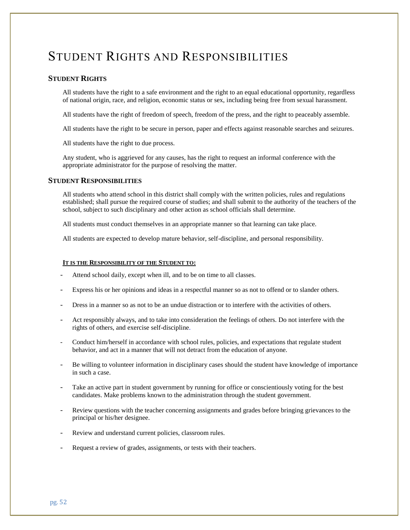# STUDENT RIGHTS AND RESPONSIBILITIES

#### **STUDENT RIGHTS**

All students have the right to a safe environment and the right to an equal educational opportunity, regardless of national origin, race, and religion, economic status or sex, including being free from sexual harassment.

All students have the right of freedom of speech, freedom of the press, and the right to peaceably assemble.

All students have the right to be secure in person, paper and effects against reasonable searches and seizures.

All students have the right to due process.

Any student, who is aggrieved for any causes, has the right to request an informal conference with the appropriate administrator for the purpose of resolving the matter.

#### **STUDENT RESPONSIBILITIES**

All students who attend school in this district shall comply with the written policies, rules and regulations established; shall pursue the required course of studies; and shall submit to the authority of the teachers of the school, subject to such disciplinary and other action as school officials shall determine.

All students must conduct themselves in an appropriate manner so that learning can take place.

All students are expected to develop mature behavior, self-discipline, and personal responsibility.

#### **IT IS THE RESPONSIBILITY OF THE STUDENT TO:**

- Attend school daily, except when ill, and to be on time to all classes.
- Express his or her opinions and ideas in a respectful manner so as not to offend or to slander others.
- Dress in a manner so as not to be an undue distraction or to interfere with the activities of others.
- Act responsibly always, and to take into consideration the feelings of others. Do not interfere with the rights of others, and exercise self-discipline.
- Conduct him/herself in accordance with school rules, policies, and expectations that regulate student behavior, and act in a manner that will not detract from the education of anyone.
- Be willing to volunteer information in disciplinary cases should the student have knowledge of importance in such a case.
- Take an active part in student government by running for office or conscientiously voting for the best candidates. Make problems known to the administration through the student government.
- Review questions with the teacher concerning assignments and grades before bringing grievances to the principal or his/her designee.
- Review and understand current policies, classroom rules.
- Request a review of grades, assignments, or tests with their teachers.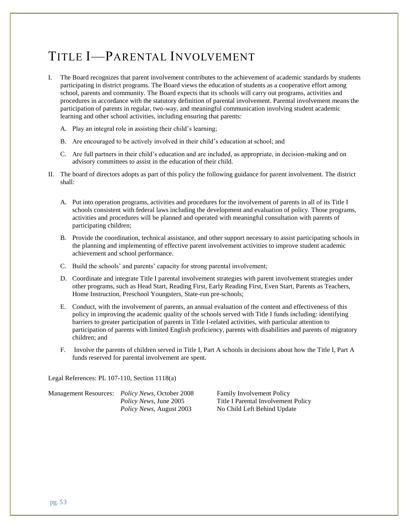# TITLE I—PARENTAL INVOLVEMENT

- I. The Board recognizes that parent involvement contributes to the achievement of academic standards by students participating in district programs. The Board views the education of students as a cooperative effort among school, parents and community. The Board expects that its schools will carry out programs, activities and procedures in accordance with the statutory definition of parental involvement. Parental involvement means the participation of parents in regular, two-way, and meaningful communication involving student academic learning and other school activities, including ensuring that parents:
	- A. Play an integral role in assisting their child's learning;
	- B. Are encouraged to be actively involved in their child's education at school; and
	- C. Are full partners in their child's education and are included, as appropriate, in decision-making and on advisory committees to assist in the education of their child.
- II. The board of directors adopts as part of this policy the following guidance for parent involvement. The district shall:
	- A. Put into operation programs, activities and procedures for the involvement of parents in all of its Title I schools consistent with federal laws including the development and evaluation of policy. Those programs, activities and procedures will be planned and operated with meaningful consultation with parents of participating children;
	- B. Provide the coordination, technical assistance, and other support necessary to assist participating schools in the planning and implementing of effective parent involvement activities to improve student academic achievement and school performance.
	- C. Build the schools' and parents' capacity for strong parental involvement;
	- D. Coordinate and integrate Title I parental involvement strategies with parent involvement strategies under other programs, such as Head Start, Reading First, Early Reading First, Even Start, Parents as Teachers, Home Instruction, Preschool Youngsters, State-run pre-schools;
	- E. Conduct, with the involvement of parents, an annual evaluation of the content and effectiveness of this policy in improving the academic quality of the schools served with Title I funds including: identifying barriers to greater participation of parents in Title I-related activities, with particular attention to participation of parents with limited English proficiency, parents with disabilities and parents of migratory children; and
	- F. Involve the parents of children served in Title I, Part A schools in decisions about how the Title I, Part A funds reserved for parental involvement are spent.

Legal References: PL 107-110, Section 1118(a)

| <b>Management Resources:</b> | <i>Policy News, October 2008</i> |
|------------------------------|----------------------------------|
|                              | <i>Policy News</i> , June 2005   |
|                              | <i>Policy News, August 2003</i>  |

Family Involvement Policy **Title I Parental Involvement Policy No Child Left Behind Update**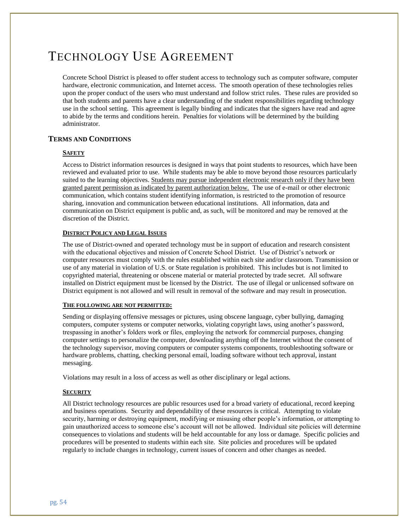# TECHNOLOGY USE AGREEMENT

Concrete School District is pleased to offer student access to technology such as computer software, computer hardware, electronic communication, and Internet access. The smooth operation of these technologies relies upon the proper conduct of the users who must understand and follow strict rules. These rules are provided so that both students and parents have a clear understanding of the student responsibilities regarding technology use in the school setting. This agreement is legally binding and indicates that the signers have read and agree to abide by the terms and conditions herein. Penalties for violations will be determined by the building administrator.

#### **TERMS AND CONDITIONS**

#### **SAFETY**

Access to District information resources is designed in ways that point students to resources, which have been reviewed and evaluated prior to use. While students may be able to move beyond those resources particularly suited to the learning objectives. Students may pursue independent electronic research only if they have been granted parent permission as indicated by parent authorization below. The use of e-mail or other electronic communication, which contains student identifying information, is restricted to the promotion of resource sharing, innovation and communication between educational institutions. All information, data and communication on District equipment is public and, as such, will be monitored and may be removed at the discretion of the District.

#### **DISTRICT POLICY AND LEGAL ISSUES**

The use of District-owned and operated technology must be in support of education and research consistent with the educational objectives and mission of Concrete School District. Use of District's network or computer resources must comply with the rules established within each site and/or classroom. Transmission or use of any material in violation of U.S. or State regulation is prohibited. This includes but is not limited to copyrighted material, threatening or obscene material or material protected by trade secret. All software installed on District equipment must be licensed by the District. The use of illegal or unlicensed software on District equipment is not allowed and will result in removal of the software and may result in prosecution.

#### **THE FOLLOWING ARE NOT PERMITTED:**

Sending or displaying offensive messages or pictures, using obscene language, cyber bullying, damaging computers, computer systems or computer networks, violating copyright laws, using another's password, trespassing in another's folders work or files, employing the network for commercial purposes, changing computer settings to personalize the computer, downloading anything off the Internet without the consent of the technology supervisor, moving computers or computer systems components, troubleshooting software or hardware problems, chatting, checking personal email, loading software without tech approval, instant messaging.

Violations may result in a loss of access as well as other disciplinary or legal actions.

#### **SECURITY**

All District technology resources are public resources used for a broad variety of educational, record keeping and business operations. Security and dependability of these resources is critical. Attempting to violate security, harming or destroying equipment, modifying or misusing other people's information, or attempting to gain unauthorized access to someone else's account will not be allowed. Individual site policies will determine consequences to violations and students will be held accountable for any loss or damage. Specific policies and procedures will be presented to students within each site. Site policies and procedures will be updated regularly to include changes in technology, current issues of concern and other changes as needed.